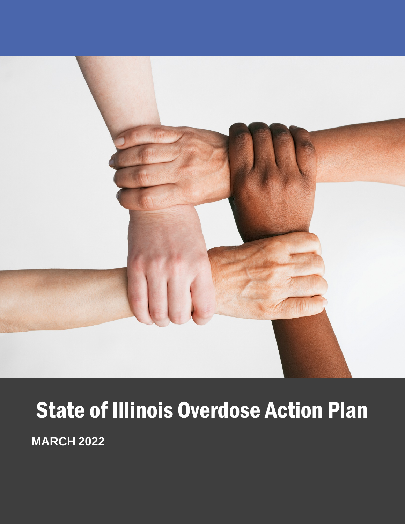

# **State of Illinois Overdose Action Plan**

**MARCH 2022**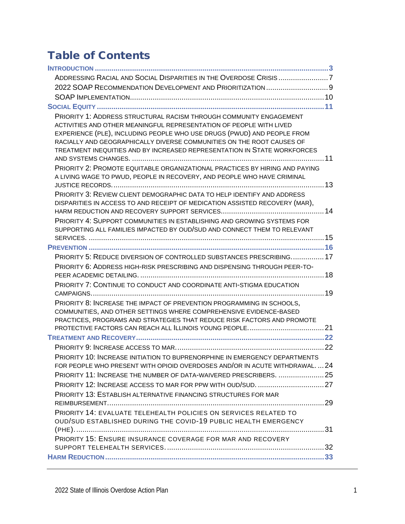## Table of Contents

| ADDRESSING RACIAL AND SOCIAL DISPARITIES IN THE OVERDOSE CRISIS 7<br>2022 SOAP RECOMMENDATION DEVELOPMENT AND PRIORITIZATION  9<br>PRIORITY 1: ADDRESS STRUCTURAL RACISM THROUGH COMMUNITY ENGAGEMENT<br>ACTIVITIES AND OTHER MEANINGFUL REPRESENTATION OF PEOPLE WITH LIVED<br>EXPERIENCE (PLE), INCLUDING PEOPLE WHO USE DRUGS (PWUD) AND PEOPLE FROM<br>RACIALLY AND GEOGRAPHICALLY DIVERSE COMMUNITIES ON THE ROOT CAUSES OF<br>TREATMENT INEQUITIES AND BY INCREASED REPRESENTATION IN STATE WORKFORCES<br>PRIORITY 2: PROMOTE EQUITABLE ORGANIZATIONAL PRACTICES BY HIRING AND PAYING<br>A LIVING WAGE TO PWUD, PEOPLE IN RECOVERY, AND PEOPLE WHO HAVE CRIMINAL<br>PRIORITY 3: REVIEW CLIENT DEMOGRAPHIC DATA TO HELP IDENTIFY AND ADDRESS<br>DISPARITIES IN ACCESS TO AND RECEIPT OF MEDICATION ASSISTED RECOVERY (MAR),<br>PRIORITY 4: SUPPORT COMMUNITIES IN ESTABLISHING AND GROWING SYSTEMS FOR<br>SUPPORTING ALL FAMILIES IMPACTED BY OUD/SUD AND CONNECT THEM TO RELEVANT<br>PRIORITY 5: REDUCE DIVERSION OF CONTROLLED SUBSTANCES PRESCRIBING 17<br>PRIORITY 6: ADDRESS HIGH-RISK PRESCRIBING AND DISPENSING THROUGH PEER-TO-<br>PRIORITY 7: CONTINUE TO CONDUCT AND COORDINATE ANTI-STIGMA EDUCATION<br>PRIORITY 8: INCREASE THE IMPACT OF PREVENTION PROGRAMMING IN SCHOOLS,<br>COMMUNITIES, AND OTHER SETTINGS WHERE COMPREHENSIVE EVIDENCE-BASED<br>PRACTICES, PROGRAMS AND STRATEGIES THAT REDUCE RISK FACTORS AND PROMOTE<br>PRIORITY 10: INCREASE INITIATION TO BUPRENORPHINE IN EMERGENCY DEPARTMENTS<br>FOR PEOPLE WHO PRESENT WITH OPIOID OVERDOSES AND/OR IN ACUTE WITHDRAWAL,  24<br>PRIORITY 11: INCREASE THE NUMBER OF DATA-WAIVERED PRESCRIBERS.  25<br>PRIORITY 13: ESTABLISH ALTERNATIVE FINANCING STRUCTURES FOR MAR<br>PRIORITY 14: EVALUATE TELEHEALTH POLICIES ON SERVICES RELATED TO<br>OUD/SUD ESTABLISHED DURING THE COVID-19 PUBLIC HEALTH EMERGENCY<br>PRIORITY 15: ENSURE INSURANCE COVERAGE FOR MAR AND RECOVERY |  |
|-------------------------------------------------------------------------------------------------------------------------------------------------------------------------------------------------------------------------------------------------------------------------------------------------------------------------------------------------------------------------------------------------------------------------------------------------------------------------------------------------------------------------------------------------------------------------------------------------------------------------------------------------------------------------------------------------------------------------------------------------------------------------------------------------------------------------------------------------------------------------------------------------------------------------------------------------------------------------------------------------------------------------------------------------------------------------------------------------------------------------------------------------------------------------------------------------------------------------------------------------------------------------------------------------------------------------------------------------------------------------------------------------------------------------------------------------------------------------------------------------------------------------------------------------------------------------------------------------------------------------------------------------------------------------------------------------------------------------------------------------------------------------------------------------------------------------------------------------------------------------------------------------------------------------------------------------------------|--|
|                                                                                                                                                                                                                                                                                                                                                                                                                                                                                                                                                                                                                                                                                                                                                                                                                                                                                                                                                                                                                                                                                                                                                                                                                                                                                                                                                                                                                                                                                                                                                                                                                                                                                                                                                                                                                                                                                                                                                             |  |
|                                                                                                                                                                                                                                                                                                                                                                                                                                                                                                                                                                                                                                                                                                                                                                                                                                                                                                                                                                                                                                                                                                                                                                                                                                                                                                                                                                                                                                                                                                                                                                                                                                                                                                                                                                                                                                                                                                                                                             |  |
|                                                                                                                                                                                                                                                                                                                                                                                                                                                                                                                                                                                                                                                                                                                                                                                                                                                                                                                                                                                                                                                                                                                                                                                                                                                                                                                                                                                                                                                                                                                                                                                                                                                                                                                                                                                                                                                                                                                                                             |  |
|                                                                                                                                                                                                                                                                                                                                                                                                                                                                                                                                                                                                                                                                                                                                                                                                                                                                                                                                                                                                                                                                                                                                                                                                                                                                                                                                                                                                                                                                                                                                                                                                                                                                                                                                                                                                                                                                                                                                                             |  |
|                                                                                                                                                                                                                                                                                                                                                                                                                                                                                                                                                                                                                                                                                                                                                                                                                                                                                                                                                                                                                                                                                                                                                                                                                                                                                                                                                                                                                                                                                                                                                                                                                                                                                                                                                                                                                                                                                                                                                             |  |
|                                                                                                                                                                                                                                                                                                                                                                                                                                                                                                                                                                                                                                                                                                                                                                                                                                                                                                                                                                                                                                                                                                                                                                                                                                                                                                                                                                                                                                                                                                                                                                                                                                                                                                                                                                                                                                                                                                                                                             |  |
|                                                                                                                                                                                                                                                                                                                                                                                                                                                                                                                                                                                                                                                                                                                                                                                                                                                                                                                                                                                                                                                                                                                                                                                                                                                                                                                                                                                                                                                                                                                                                                                                                                                                                                                                                                                                                                                                                                                                                             |  |
|                                                                                                                                                                                                                                                                                                                                                                                                                                                                                                                                                                                                                                                                                                                                                                                                                                                                                                                                                                                                                                                                                                                                                                                                                                                                                                                                                                                                                                                                                                                                                                                                                                                                                                                                                                                                                                                                                                                                                             |  |
|                                                                                                                                                                                                                                                                                                                                                                                                                                                                                                                                                                                                                                                                                                                                                                                                                                                                                                                                                                                                                                                                                                                                                                                                                                                                                                                                                                                                                                                                                                                                                                                                                                                                                                                                                                                                                                                                                                                                                             |  |
|                                                                                                                                                                                                                                                                                                                                                                                                                                                                                                                                                                                                                                                                                                                                                                                                                                                                                                                                                                                                                                                                                                                                                                                                                                                                                                                                                                                                                                                                                                                                                                                                                                                                                                                                                                                                                                                                                                                                                             |  |
|                                                                                                                                                                                                                                                                                                                                                                                                                                                                                                                                                                                                                                                                                                                                                                                                                                                                                                                                                                                                                                                                                                                                                                                                                                                                                                                                                                                                                                                                                                                                                                                                                                                                                                                                                                                                                                                                                                                                                             |  |
|                                                                                                                                                                                                                                                                                                                                                                                                                                                                                                                                                                                                                                                                                                                                                                                                                                                                                                                                                                                                                                                                                                                                                                                                                                                                                                                                                                                                                                                                                                                                                                                                                                                                                                                                                                                                                                                                                                                                                             |  |
|                                                                                                                                                                                                                                                                                                                                                                                                                                                                                                                                                                                                                                                                                                                                                                                                                                                                                                                                                                                                                                                                                                                                                                                                                                                                                                                                                                                                                                                                                                                                                                                                                                                                                                                                                                                                                                                                                                                                                             |  |
|                                                                                                                                                                                                                                                                                                                                                                                                                                                                                                                                                                                                                                                                                                                                                                                                                                                                                                                                                                                                                                                                                                                                                                                                                                                                                                                                                                                                                                                                                                                                                                                                                                                                                                                                                                                                                                                                                                                                                             |  |
|                                                                                                                                                                                                                                                                                                                                                                                                                                                                                                                                                                                                                                                                                                                                                                                                                                                                                                                                                                                                                                                                                                                                                                                                                                                                                                                                                                                                                                                                                                                                                                                                                                                                                                                                                                                                                                                                                                                                                             |  |
|                                                                                                                                                                                                                                                                                                                                                                                                                                                                                                                                                                                                                                                                                                                                                                                                                                                                                                                                                                                                                                                                                                                                                                                                                                                                                                                                                                                                                                                                                                                                                                                                                                                                                                                                                                                                                                                                                                                                                             |  |
|                                                                                                                                                                                                                                                                                                                                                                                                                                                                                                                                                                                                                                                                                                                                                                                                                                                                                                                                                                                                                                                                                                                                                                                                                                                                                                                                                                                                                                                                                                                                                                                                                                                                                                                                                                                                                                                                                                                                                             |  |
|                                                                                                                                                                                                                                                                                                                                                                                                                                                                                                                                                                                                                                                                                                                                                                                                                                                                                                                                                                                                                                                                                                                                                                                                                                                                                                                                                                                                                                                                                                                                                                                                                                                                                                                                                                                                                                                                                                                                                             |  |
|                                                                                                                                                                                                                                                                                                                                                                                                                                                                                                                                                                                                                                                                                                                                                                                                                                                                                                                                                                                                                                                                                                                                                                                                                                                                                                                                                                                                                                                                                                                                                                                                                                                                                                                                                                                                                                                                                                                                                             |  |
|                                                                                                                                                                                                                                                                                                                                                                                                                                                                                                                                                                                                                                                                                                                                                                                                                                                                                                                                                                                                                                                                                                                                                                                                                                                                                                                                                                                                                                                                                                                                                                                                                                                                                                                                                                                                                                                                                                                                                             |  |
|                                                                                                                                                                                                                                                                                                                                                                                                                                                                                                                                                                                                                                                                                                                                                                                                                                                                                                                                                                                                                                                                                                                                                                                                                                                                                                                                                                                                                                                                                                                                                                                                                                                                                                                                                                                                                                                                                                                                                             |  |
|                                                                                                                                                                                                                                                                                                                                                                                                                                                                                                                                                                                                                                                                                                                                                                                                                                                                                                                                                                                                                                                                                                                                                                                                                                                                                                                                                                                                                                                                                                                                                                                                                                                                                                                                                                                                                                                                                                                                                             |  |
|                                                                                                                                                                                                                                                                                                                                                                                                                                                                                                                                                                                                                                                                                                                                                                                                                                                                                                                                                                                                                                                                                                                                                                                                                                                                                                                                                                                                                                                                                                                                                                                                                                                                                                                                                                                                                                                                                                                                                             |  |
|                                                                                                                                                                                                                                                                                                                                                                                                                                                                                                                                                                                                                                                                                                                                                                                                                                                                                                                                                                                                                                                                                                                                                                                                                                                                                                                                                                                                                                                                                                                                                                                                                                                                                                                                                                                                                                                                                                                                                             |  |
|                                                                                                                                                                                                                                                                                                                                                                                                                                                                                                                                                                                                                                                                                                                                                                                                                                                                                                                                                                                                                                                                                                                                                                                                                                                                                                                                                                                                                                                                                                                                                                                                                                                                                                                                                                                                                                                                                                                                                             |  |
|                                                                                                                                                                                                                                                                                                                                                                                                                                                                                                                                                                                                                                                                                                                                                                                                                                                                                                                                                                                                                                                                                                                                                                                                                                                                                                                                                                                                                                                                                                                                                                                                                                                                                                                                                                                                                                                                                                                                                             |  |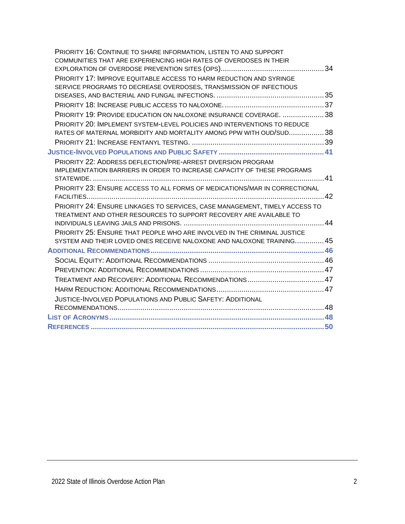| PRIORITY 16: CONTINUE TO SHARE INFORMATION, LISTEN TO AND SUPPORT           |  |
|-----------------------------------------------------------------------------|--|
| COMMUNITIES THAT ARE EXPERIENCING HIGH RATES OF OVERDOSES IN THEIR          |  |
|                                                                             |  |
| PRIORITY 17: IMPROVE EQUITABLE ACCESS TO HARM REDUCTION AND SYRINGE         |  |
| SERVICE PROGRAMS TO DECREASE OVERDOSES, TRANSMISSION OF INFECTIOUS          |  |
|                                                                             |  |
|                                                                             |  |
| PRIORITY 19: PROVIDE EDUCATION ON NALOXONE INSURANCE COVERAGE. 38           |  |
| PRIORITY 20: IMPLEMENT SYSTEM-LEVEL POLICIES AND INTERVENTIONS TO REDUCE    |  |
| RATES OF MATERNAL MORBIDITY AND MORTALITY AMONG PPW WITH OUD/SUD38          |  |
|                                                                             |  |
|                                                                             |  |
| PRIORITY 22: ADDRESS DEFLECTION/PRE-ARREST DIVERSION PROGRAM                |  |
| IMPLEMENTATION BARRIERS IN ORDER TO INCREASE CAPACITY OF THESE PROGRAMS     |  |
|                                                                             |  |
| PRIORITY 23: ENSURE ACCESS TO ALL FORMS OF MEDICATIONS/MAR IN CORRECTIONAL  |  |
|                                                                             |  |
| PRIORITY 24: ENSURE LINKAGES TO SERVICES, CASE MANAGEMENT, TIMELY ACCESS TO |  |
| TREATMENT AND OTHER RESOURCES TO SUPPORT RECOVERY ARE AVAILABLE TO          |  |
|                                                                             |  |
| PRIORITY 25: ENSURE THAT PEOPLE WHO ARE INVOLVED IN THE CRIMINAL JUSTICE    |  |
| SYSTEM AND THEIR LOVED ONES RECEIVE NALOXONE AND NALOXONE TRAINING 45       |  |
|                                                                             |  |
|                                                                             |  |
|                                                                             |  |
|                                                                             |  |
|                                                                             |  |
| <b>JUSTICE-INVOLVED POPULATIONS AND PUBLIC SAFETY: ADDITIONAL</b>           |  |
|                                                                             |  |
|                                                                             |  |
|                                                                             |  |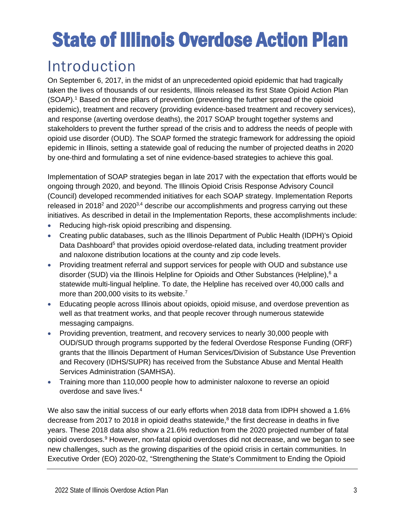# State of Illinois Overdose Action Plan

## <span id="page-3-0"></span>Introduction

On September 6, 2017, in the midst of an unprecedented opioid epidemic that had tragically taken the lives of thousands of our residents, Illinois released its first State Opioid Action Plan (SOAP). <sup>1</sup> Based on three pillars of prevention (preventing the further spread of the opioid epidemic), treatment and recovery (providing evidence-based treatment and recovery services), and response (averting overdose deaths), the 2017 SOAP brought together systems and stakeholders to prevent the further spread of the crisis and to address the needs of people with opioid use disorder (OUD). The SOAP formed the strategic framework for addressing the opioid epidemic in Illinois, setting a statewide goal of reducing the number of projected deaths in 2020 by one-third and formulating a set of nine evidence-based strategies to achieve this goal.

Implementation of SOAP strategies began in late 2017 with the expectation that efforts would be ongoing through 2020, and beyond. The Illinois Opioid Crisis Response Advisory Council (Council) developed recommended initiatives for each SOAP strategy. Implementation Reports released in 2018 $2$  and 2020 $3,4$  describe our accomplishments and progress carrying out these initiatives. As described in detail in the Implementation Reports, these accomplishments include:

- Reducing high-risk opioid prescribing and dispensing.
- Creating public databases, such as the Illinois Department of Public Health (IDPH)'s Opioid Data Dashboard<sup>5</sup> that provides opioid overdose-related data, including treatment provider and naloxone distribution locations at the county and zip code levels.
- Providing treatment referral and support services for people with OUD and substance use disorder (SUD) via the Illinois Helpline for Opioids and Other Substances (Helpline), <sup>6</sup> a statewide multi-lingual helpline. To date, the Helpline has received over 40,000 calls and more than 200,000 visits to its website.<sup>7</sup>
- Educating people across Illinois about opioids, opioid misuse, and overdose prevention as well as that treatment works, and that people recover through numerous statewide messaging campaigns.
- Providing prevention, treatment, and recovery services to nearly 30,000 people with OUD/SUD through programs supported by the federal Overdose Response Funding (ORF) grants that the Illinois Department of Human Services/Division of Substance Use Prevention and Recovery (IDHS/SUPR) has received from the Substance Abuse and Mental Health Services Administration (SAMHSA).
- Training more than 110,000 people how to administer naloxone to reverse an opioid overdose and save lives. 4

We also saw the initial success of our early efforts when 2018 data from IDPH showed a 1.6% decrease from 2017 to 2018 in opioid deaths statewide, $8$  the first decrease in deaths in five years. These 2018 data also show a 21.6% reduction from the 2020 projected number of fatal opioid overdoses.<sup>9</sup> However, non-fatal opioid overdoses did not decrease, and we began to see new challenges, such as the growing disparities of the opioid crisis in certain communities. In Executive Order (EO) 2020-02, "Strengthening the State's Commitment to Ending the Opioid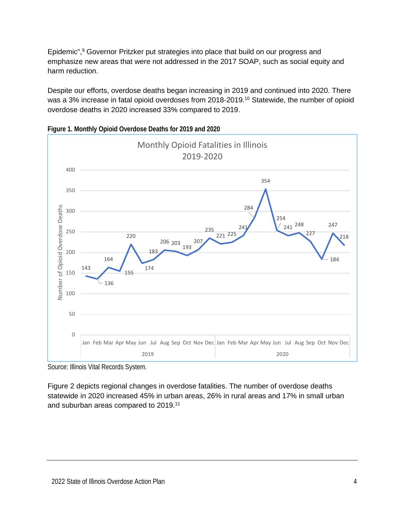Epidemic",<sup>9</sup> Governor Pritzker put strategies into place that build on our progress and emphasize new areas that were not addressed in the 2017 SOAP, such as social equity and harm reduction.

Despite our efforts, overdose deaths began increasing in 2019 and continued into 2020. There was a 3% increase in fatal opioid overdoses from 2018-2019.<sup>10</sup> Statewide, the number of opioid overdose deaths in 2020 increased 33% compared to 2019.



**Figure 1. Monthly Opioid Overdose Deaths for 2019 and 2020**

Figure 2 depicts regional changes in overdose fatalities. The number of overdose deaths statewide in 2020 increased 45% in urban areas, 26% in rural areas and 17% in small urban and suburban areas compared to 2019.11

Source: Illinois Vital Records System.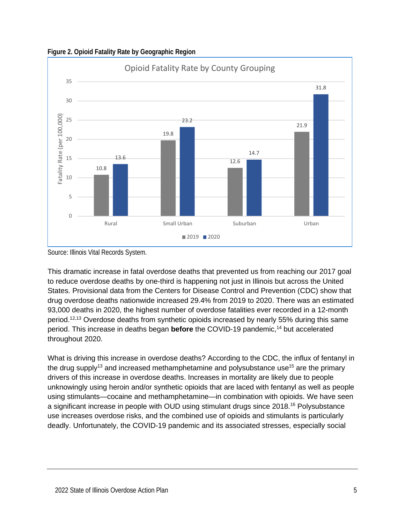

**Figure 2. Opioid Fatality Rate by Geographic Region**

This dramatic increase in fatal overdose deaths that prevented us from reaching our 2017 goal to reduce overdose deaths by one-third is happening not just in Illinois but across the United States. Provisional data from the Centers for Disease Control and Prevention (CDC) show that drug overdose deaths nationwide increased 29.4% from 2019 to 2020. There was an estimated 93,000 deaths in 2020, the highest number of overdose fatalities ever recorded in a 12-month period.<sup>12,13</sup> Overdose deaths from synthetic opioids increased by nearly 55% during this same period. This increase in deaths began **before** the COVID-19 pandemic, <sup>14</sup> but accelerated throughout 2020.

What is driving this increase in overdose deaths? According to the CDC, the influx of fentanyl in the drug supply<sup>13</sup> and increased methamphetamine and polysubstance use<sup>15</sup> are the primary drivers of this increase in overdose deaths. Increases in mortality are likely due to people unknowingly using heroin and/or synthetic opioids that are laced with fentanyl as well as people using stimulants—cocaine and methamphetamine—in combination with opioids. We have seen a significant increase in people with OUD using stimulant drugs since 2018. <sup>16</sup> Polysubstance use increases overdose risks, and the combined use of opioids and stimulants is particularly deadly. Unfortunately, the COVID-19 pandemic and its associated stresses, especially social

Source: Illinois Vital Records System.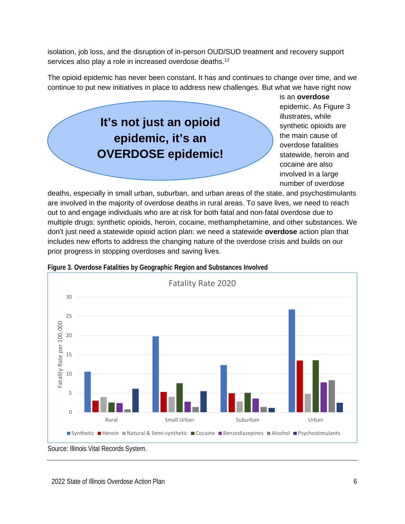isolation, job loss, and the disruption of in-person OUD/SUD treatment and recovery support services also play a role in increased overdose deaths.<sup>12</sup>

The opioid epidemic has never been constant. It has and continues to change over time, and we continue to put new initiatives in place to address new challenges. But what we have right now

## **It's not just an opioid epidemic, it's an OVERDOSE epidemic!**

is an **overdose**  epidemic. As Figure 3 illustrates, while synthetic opioids are the main cause of overdose fatalities statewide, heroin and cocaine are also involved in a large number of overdose

deaths, especially in small urban, suburban, and urban areas of the state, and psychostimulants are involved in the majority of overdose deaths in rural areas. To save lives, we need to reach out to and engage individuals who are at risk for both fatal and non-fatal overdose due to multiple drugs: synthetic opioids, heroin, cocaine, methamphetamine, and other substances. We don't just need a statewide opioid action plan: we need a statewide **overdose** action plan that includes new efforts to address the changing nature of the overdose crisis and builds on our prior progress in stopping overdoses and saving lives.



**Figure 3. Overdose Fatalities by Geographic Region and Substances Involved**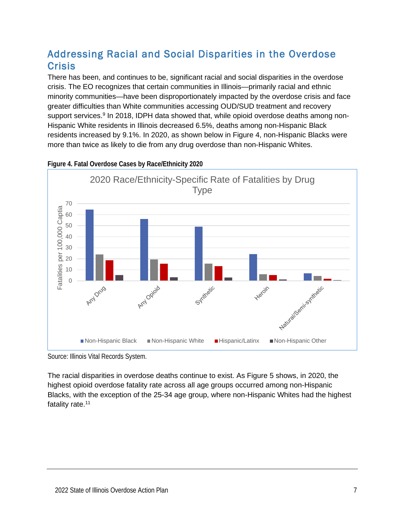## <span id="page-7-0"></span>Addressing Racial and Social Disparities in the Overdose **Crisis**

There has been, and continues to be, significant racial and social disparities in the overdose crisis. The EO recognizes that certain communities in Illinois—primarily racial and ethnic minority communities—have been disproportionately impacted by the overdose crisis and face greater difficulties than White communities accessing OUD/SUD treatment and recovery support services.<sup>9</sup> In 2018, IDPH data showed that, while opioid overdose deaths among non-Hispanic White residents in Illinois decreased 6.5%, deaths among non-Hispanic Black residents increased by 9.1%. In 2020, as shown below in Figure 4, non-Hispanic Blacks were more than twice as likely to die from any drug overdose than non-Hispanic Whites.



**Figure 4. Fatal Overdose Cases by Race/Ethnicity 2020**

The racial disparities in overdose deaths continue to exist. As Figure 5 shows, in 2020, the highest opioid overdose fatality rate across all age groups occurred among non-Hispanic Blacks, with the exception of the 25-34 age group, where non-Hispanic Whites had the highest fatality rate. 11

Source: Illinois Vital Records System.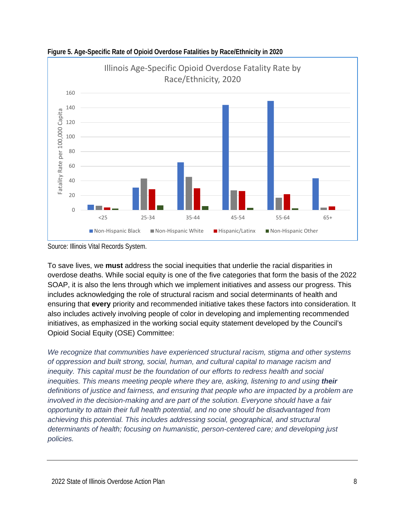

**Figure 5. Age-Specific Rate of Opioid Overdose Fatalities by Race/Ethnicity in 2020**

To save lives, we **must** address the social inequities that underlie the racial disparities in overdose deaths. While social equity is one of the five categories that form the basis of the 2022 SOAP, it is also the lens through which we implement initiatives and assess our progress. This includes acknowledging the role of structural racism and social determinants of health and ensuring that **every** priority and recommended initiative takes these factors into consideration. It also includes actively involving people of color in developing and implementing recommended initiatives, as emphasized in the working social equity statement developed by the Council's Opioid Social Equity (OSE) Committee:

*We recognize that communities have experienced structural racism, stigma and other systems of oppression and built strong, social, human, and cultural capital to manage racism and inequity. This capital must be the foundation of our efforts to redress health and social inequities. This means meeting people where they are, asking, listening to and using their definitions of justice and fairness, and ensuring that people who are impacted by a problem are involved in the decision-making and are part of the solution. Everyone should have a fair opportunity to attain their full health potential, and no one should be disadvantaged from achieving this potential. This includes addressing social, geographical, and structural determinants of health; focusing on humanistic, person-centered care; and developing just policies.*

Source: Illinois Vital Records System.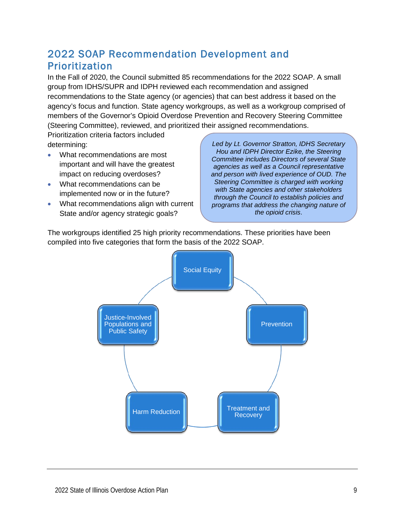## <span id="page-9-0"></span>2022 SOAP Recommendation Development and Prioritization

In the Fall of 2020, the Council submitted 85 recommendations for the 2022 SOAP. A small group from IDHS/SUPR and IDPH reviewed each recommendation and assigned recommendations to the State agency (or agencies) that can best address it based on the agency's focus and function. State agency workgroups, as well as a workgroup comprised of members of the Governor's Opioid Overdose Prevention and Recovery Steering Committee (Steering Committee), reviewed, and prioritized their assigned recommendations.

Prioritization criteria factors included determining:

- What recommendations are most important and will have the greatest impact on reducing overdoses?
- What recommendations can be implemented now or in the future?
- What recommendations align with current State and/or agency strategic goals?

*Led by Lt. Governor Stratton, IDHS Secretary Hou and IDPH Director Ezike, the Steering Committee includes Directors of several State agencies as well as a Council representative and person with lived experience of OUD. The Steering Committee is charged with working with State agencies and other stakeholders through the Council to establish policies and programs that address the changing nature of the opioid crisis*.

The workgroups identified 25 high priority recommendations. These priorities have been compiled into five categories that form the basis of the 2022 SOAP.

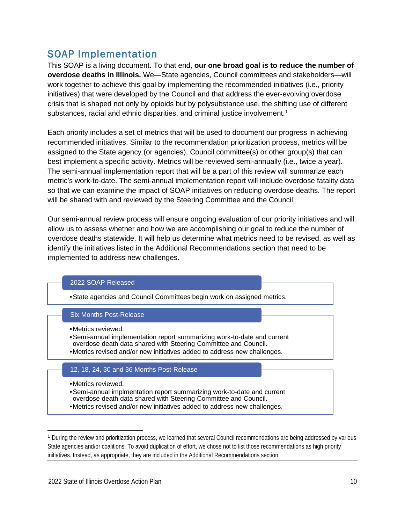## <span id="page-10-0"></span>SOAP Implementation

This SOAP is a living document. To that end, **our one broad goal is to reduce the number of overdose deaths in Illinois.** We—State agencies, Council committees and stakeholders—will work together to achieve this goal by implementing the recommended initiatives (i.e., priority initiatives) that were developed by the Council and that address the ever-evolving overdose crisis that is shaped not only by opioids but by polysubstance use, the shifting use of different substances, racial and ethnic disparities, and criminal justice involvement. [1](#page-10-1)

Each priority includes a set of metrics that will be used to document our progress in achieving recommended initiatives. Similar to the recommendation prioritization process, metrics will be assigned to the State agency (or agencies), Council committee(s) or other group(s) that can best implement a specific activity. Metrics will be reviewed semi-annually (i.e., twice a year). The semi-annual implementation report that will be a part of this review will summarize each metric's work-to-date. The semi-annual implementation report will include overdose fatality data so that we can examine the impact of SOAP initiatives on reducing overdose deaths. The report will be shared with and reviewed by the Steering Committee and the Council.

Our semi-annual review process will ensure ongoing evaluation of our priority initiatives and will allow us to assess whether and how we are accomplishing our goal to reduce the number of overdose deaths statewide. It will help us determine what metrics need to be revised, as well as identify the initiatives listed in the Additional Recommendations section that need to be implemented to address new challenges.

#### 2022 SOAP Released

•State agencies and Council Committees begin work on assigned metrics.

#### Six Months Post-Release

- •Metrics reviewed.
- •Semi-annual implementation report summarizing work-to-date and current overdose death data shared with Steering Committee and Council.
- •Metrics revised and/or new initiatives added to address new challenges.

#### 12, 18, 24, 30 and 36 Months Post-Release

- •Metrics reviewed.
- •Semi-annual implmentation report summarizing work-to-date and current overdose death data shared with Steering Committee and Council.
- •Metrics revised and/or new initiatives added to address new challenges.

<span id="page-10-1"></span><sup>1</sup> During the review and prioritization process, we learned that several Council recommendations are being addressed by various State agencies and/or coalitions. To avoid duplication of effort, we chose not to list those recommendations as high priority initiatives. Instead, as appropriate, they are included in the Additional Recommendations section.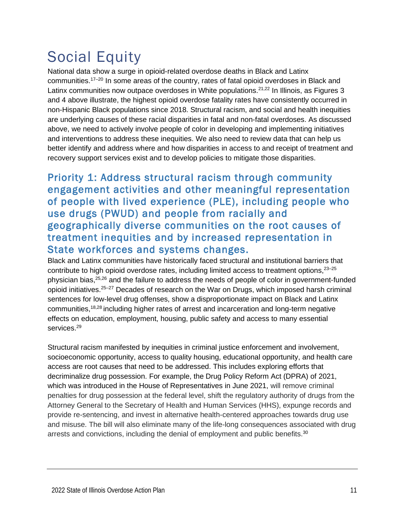## <span id="page-11-0"></span>Social Equity

National data show a surge in opioid-related overdose deaths in Black and Latinx communities.17–20 In some areas of the country, rates of fatal opioid overdoses in Black and Latinx communities now outpace overdoses in White populations.<sup>21,22</sup> In Illinois, as Figures 3 and 4 above illustrate, the highest opioid overdose fatality rates have consistently occurred in non-Hispanic Black populations since 2018. Structural racism, and social and health inequities are underlying causes of these racial disparities in fatal and non-fatal overdoses. As discussed above, we need to actively involve people of color in developing and implementing initiatives and interventions to address these inequities. We also need to review data that can help us better identify and address where and how disparities in access to and receipt of treatment and recovery support services exist and to develop policies to mitigate those disparities.

### <span id="page-11-1"></span>Priority 1: Address structural racism through community engagement activities and other meaningful representation of people with lived experience (PLE), including people who use drugs (PWUD) and people from racially and geographically diverse communities on the root causes of treatment inequities and by increased representation in State workforces and systems changes.

Black and Latinx communities have historically faced structural and institutional barriers that contribute to high opioid overdose rates, including limited access to treatment options,<sup>23-25</sup> physician bias,<sup>25,26</sup> and the failure to address the needs of people of color in government-funded opioid initiatives.25–27 Decades of research on the War on Drugs, which imposed harsh criminal sentences for low-level drug offenses, show a disproportionate impact on Black and Latinx communities, 18,28 including higher rates of arrest and incarceration and long-term negative effects on education, employment, housing, public safety and access to many essential services.<sup>29</sup>

Structural racism manifested by inequities in criminal justice enforcement and involvement, socioeconomic opportunity, access to quality housing, educational opportunity, and health care access are root causes that need to be addressed. This includes exploring efforts that decriminalize drug possession. For example, the Drug Policy Reform Act (DPRA) of 2021, which was introduced in the House of Representatives in June 2021, will remove criminal penalties for drug possession at the federal level, shift the regulatory authority of drugs from the Attorney General to the Secretary of Health and Human Services (HHS), expunge records and provide re-sentencing, and invest in alternative health-centered approaches towards drug use and misuse. The bill will also eliminate many of the life-long consequences associated with drug arrests and convictions, including the denial of employment and public benefits.<sup>30</sup>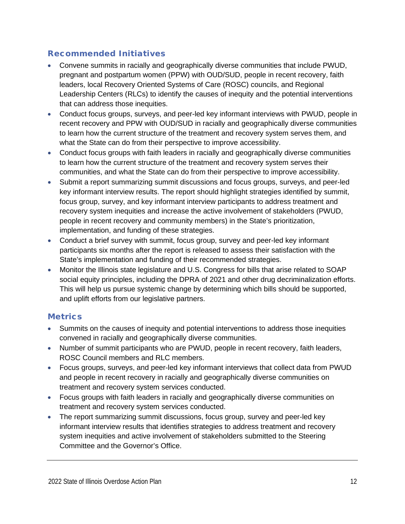#### Recommended Initiatives

- Convene summits in racially and geographically diverse communities that include PWUD, pregnant and postpartum women (PPW) with OUD/SUD, people in recent recovery, faith leaders, local Recovery Oriented Systems of Care (ROSC) councils, and Regional Leadership Centers (RLCs) to identify the causes of inequity and the potential interventions that can address those inequities.
- Conduct focus groups, surveys, and peer-led key informant interviews with PWUD, people in recent recovery and PPW with OUD/SUD in racially and geographically diverse communities to learn how the current structure of the treatment and recovery system serves them, and what the State can do from their perspective to improve accessibility.
- Conduct focus groups with faith leaders in racially and geographically diverse communities to learn how the current structure of the treatment and recovery system serves their communities, and what the State can do from their perspective to improve accessibility.
- Submit a report summarizing summit discussions and focus groups, surveys, and peer-led key informant interview results. The report should highlight strategies identified by summit, focus group, survey, and key informant interview participants to address treatment and recovery system inequities and increase the active involvement of stakeholders (PWUD, people in recent recovery and community members) in the State's prioritization, implementation, and funding of these strategies.
- Conduct a brief survey with summit, focus group, survey and peer-led key informant participants six months after the report is released to assess their satisfaction with the State's implementation and funding of their recommended strategies.
- Monitor the Illinois state legislature and U.S. Congress for bills that arise related to SOAP social equity principles, including the DPRA of 2021 and other drug decriminalization efforts. This will help us pursue systemic change by determining which bills should be supported, and uplift efforts from our legislative partners.

- Summits on the causes of inequity and potential interventions to address those inequities convened in racially and geographically diverse communities.
- Number of summit participants who are PWUD, people in recent recovery, faith leaders, ROSC Council members and RLC members.
- Focus groups, surveys, and peer-led key informant interviews that collect data from PWUD and people in recent recovery in racially and geographically diverse communities on treatment and recovery system services conducted.
- Focus groups with faith leaders in racially and geographically diverse communities on treatment and recovery system services conducted.
- The report summarizing summit discussions, focus group, survey and peer-led key informant interview results that identifies strategies to address treatment and recovery system inequities and active involvement of stakeholders submitted to the Steering Committee and the Governor's Office.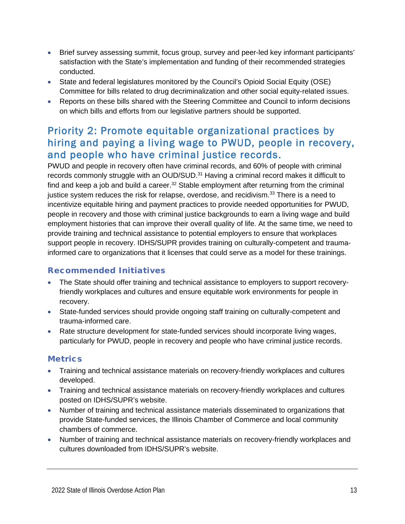- Brief survey assessing summit, focus group, survey and peer-led key informant participants' satisfaction with the State's implementation and funding of their recommended strategies conducted.
- State and federal legislatures monitored by the Council's Opioid Social Equity (OSE) Committee for bills related to drug decriminalization and other social equity-related issues.
- Reports on these bills shared with the Steering Committee and Council to inform decisions on which bills and efforts from our legislative partners should be supported.

## <span id="page-13-0"></span>Priority 2: Promote equitable organizational practices by hiring and paying a living wage to PWUD, people in recovery, and people who have criminal justice records.

PWUD and people in recovery often have criminal records, and 60% of people with criminal records commonly struggle with an OUD/SUD.<sup>31</sup> Having a criminal record makes it difficult to find and keep a job and build a career.<sup>32</sup> Stable employment after returning from the criminal justice system reduces the risk for relapse, overdose, and recidivism.<sup>33</sup> There is a need to incentivize equitable hiring and payment practices to provide needed opportunities for PWUD, people in recovery and those with criminal justice backgrounds to earn a living wage and build employment histories that can improve their overall quality of life. At the same time, we need to provide training and technical assistance to potential employers to ensure that workplaces support people in recovery. IDHS/SUPR provides training on culturally-competent and traumainformed care to organizations that it licenses that could serve as a model for these trainings.

#### Recommended Initiatives

- The State should offer training and technical assistance to employers to support recoveryfriendly workplaces and cultures and ensure equitable work environments for people in recovery.
- State-funded services should provide ongoing staff training on culturally-competent and trauma-informed care.
- Rate structure development for state-funded services should incorporate living wages, particularly for PWUD, people in recovery and people who have criminal justice records.

- Training and technical assistance materials on recovery-friendly workplaces and cultures developed.
- Training and technical assistance materials on recovery-friendly workplaces and cultures posted on IDHS/SUPR's website.
- Number of training and technical assistance materials disseminated to organizations that provide State-funded services, the Illinois Chamber of Commerce and local community chambers of commerce.
- Number of training and technical assistance materials on recovery-friendly workplaces and cultures downloaded from IDHS/SUPR's website.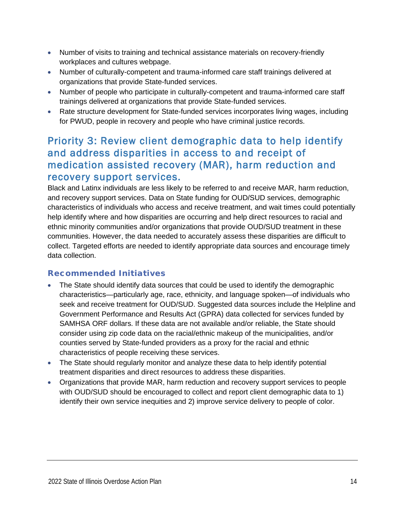- Number of visits to training and technical assistance materials on recovery-friendly workplaces and cultures webpage.
- Number of culturally-competent and trauma-informed care staff trainings delivered at organizations that provide State-funded services.
- Number of people who participate in culturally-competent and trauma-informed care staff trainings delivered at organizations that provide State-funded services.
- Rate structure development for State-funded services incorporates living wages, including for PWUD, people in recovery and people who have criminal justice records.

## <span id="page-14-0"></span>Priority 3: Review client demographic data to help identify and address disparities in access to and receipt of medication assisted recovery (MAR), harm reduction and recovery support services.

Black and Latinx individuals are less likely to be referred to and receive MAR, harm reduction, and recovery support services. Data on State funding for OUD/SUD services, demographic characteristics of individuals who access and receive treatment, and wait times could potentially help identify where and how disparities are occurring and help direct resources to racial and ethnic minority communities and/or organizations that provide OUD/SUD treatment in these communities. However, the data needed to accurately assess these disparities are difficult to collect. Targeted efforts are needed to identify appropriate data sources and encourage timely data collection.

#### Recommended Initiatives

- The State should identify data sources that could be used to identify the demographic characteristics—particularly age, race, ethnicity, and language spoken—of individuals who seek and receive treatment for OUD/SUD. Suggested data sources include the Helpline and Government Performance and Results Act (GPRA) data collected for services funded by SAMHSA ORF dollars. If these data are not available and/or reliable, the State should consider using zip code data on the racial/ethnic makeup of the municipalities, and/or counties served by State-funded providers as a proxy for the racial and ethnic characteristics of people receiving these services.
- The State should regularly monitor and analyze these data to help identify potential treatment disparities and direct resources to address these disparities.
- Organizations that provide MAR, harm reduction and recovery support services to people with OUD/SUD should be encouraged to collect and report client demographic data to 1) identify their own service inequities and 2) improve service delivery to people of color.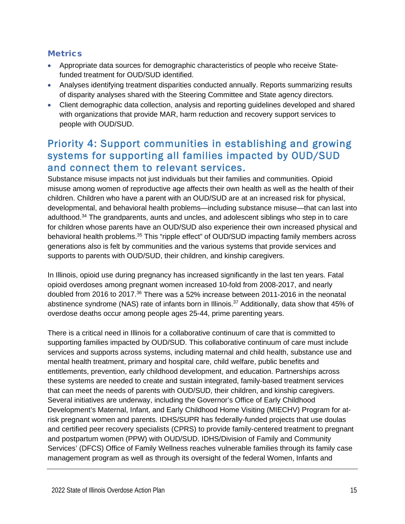#### **Metrics**

- Appropriate data sources for demographic characteristics of people who receive Statefunded treatment for OUD/SUD identified.
- Analyses identifying treatment disparities conducted annually. Reports summarizing results of disparity analyses shared with the Steering Committee and State agency directors.
- Client demographic data collection, analysis and reporting guidelines developed and shared with organizations that provide MAR, harm reduction and recovery support services to people with OUD/SUD.

## <span id="page-15-0"></span>Priority 4: Support communities in establishing and growing systems for supporting all families impacted by OUD/SUD and connect them to relevant services.

Substance misuse impacts not just individuals but their families and communities. Opioid misuse among women of reproductive age affects their own health as well as the health of their children. Children who have a parent with an OUD/SUD are at an increased risk for physical, developmental, and behavioral health problems—including substance misuse—that can last into adulthood. <sup>34</sup> The grandparents, aunts and uncles, and adolescent siblings who step in to care for children whose parents have an OUD/SUD also experience their own increased physical and behavioral health problems.<sup>35</sup> This "ripple effect" of OUD/SUD impacting family members across generations also is felt by communities and the various systems that provide services and supports to parents with OUD/SUD, their children, and kinship caregivers.

In Illinois, opioid use during pregnancy has increased significantly in the last ten years. Fatal opioid overdoses among pregnant women increased 10-fold from 2008-2017, and nearly doubled from 2016 to 2017.<sup>36</sup> There was a 52% increase between 2011-2016 in the neonatal abstinence syndrome (NAS) rate of infants born in Illinois.<sup>37</sup> Additionally, data show that 45% of overdose deaths occur among people ages 25-44, prime parenting years.

There is a critical need in Illinois for a collaborative continuum of care that is committed to supporting families impacted by OUD/SUD. This collaborative continuum of care must include services and supports across systems, including maternal and child health, substance use and mental health treatment, primary and hospital care, child welfare, public benefits and entitlements, prevention, early childhood development, and education. Partnerships across these systems are needed to create and sustain integrated, family-based treatment services that can meet the needs of parents with OUD/SUD, their children, and kinship caregivers. Several initiatives are underway, including the Governor's Office of Early Childhood Development's Maternal, Infant, and Early Childhood Home Visiting (MIECHV) Program for atrisk pregnant women and parents. IDHS/SUPR has federally-funded projects that use doulas and certified peer recovery specialists (CPRS) to provide family-centered treatment to pregnant and postpartum women (PPW) with OUD/SUD. IDHS/Division of Family and Community Services' (DFCS) Office of Family Wellness reaches vulnerable families through its family case management program as well as through its oversight of the federal Women, Infants and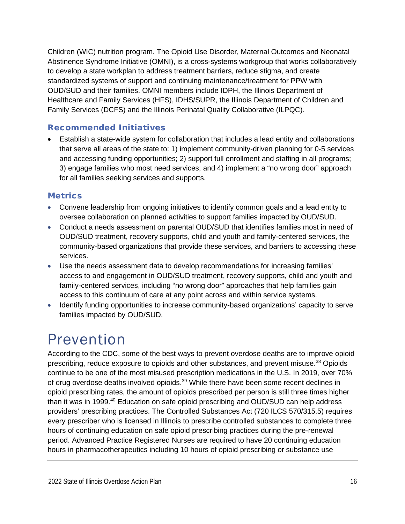Children (WIC) nutrition program. The Opioid Use Disorder, Maternal Outcomes and Neonatal Abstinence Syndrome Initiative (OMNI), is a cross-systems workgroup that works collaboratively to develop a state workplan to address treatment barriers, reduce stigma, and create standardized systems of support and continuing maintenance/treatment for PPW with OUD/SUD and their families. OMNI members include IDPH, the Illinois Department of Healthcare and Family Services (HFS), IDHS/SUPR, the Illinois Department of Children and Family Services (DCFS) and the Illinois Perinatal Quality Collaborative (ILPQC).

#### Recommended Initiatives

• Establish a state-wide system for collaboration that includes a lead entity and collaborations that serve all areas of the state to: 1) implement community-driven planning for 0-5 services and accessing funding opportunities; 2) support full enrollment and staffing in all programs; 3) engage families who most need services; and 4) implement a "no wrong door" approach for all families seeking services and supports.

#### **Metrics**

- Convene leadership from ongoing initiatives to identify common goals and a lead entity to oversee collaboration on planned activities to support families impacted by OUD/SUD.
- Conduct a needs assessment on parental OUD/SUD that identifies families most in need of OUD/SUD treatment, recovery supports, child and youth and family-centered services, the community-based organizations that provide these services, and barriers to accessing these services.
- Use the needs assessment data to develop recommendations for increasing families' access to and engagement in OUD/SUD treatment, recovery supports, child and youth and family-centered services, including "no wrong door" approaches that help families gain access to this continuum of care at any point across and within service systems.
- Identify funding opportunities to increase community-based organizations' capacity to serve families impacted by OUD/SUD.

## <span id="page-16-0"></span>Prevention

According to the CDC, some of the best ways to prevent overdose deaths are to improve opioid prescribing, reduce exposure to opioids and other substances, and prevent misuse.<sup>38</sup> Opioids continue to be one of the most misused prescription medications in the U.S. In 2019, over 70% of drug overdose deaths involved opioids.<sup>39</sup> While there have been some recent declines in opioid prescribing rates, the amount of opioids prescribed per person is still three times higher than it was in 1999. <sup>40</sup> Education on safe opioid prescribing and OUD/SUD can help address providers' prescribing practices. The Controlled Substances Act (720 ILCS 570/315.5) requires every prescriber who is licensed in Illinois to prescribe controlled substances to complete three hours of continuing education on safe opioid prescribing practices during the pre-renewal period. Advanced Practice Registered Nurses are required to have 20 continuing education hours in pharmacotherapeutics including 10 hours of opioid prescribing or substance use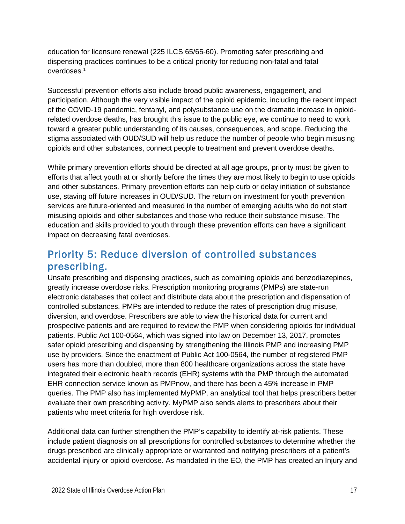education for licensure renewal (225 ILCS 65/65-60). Promoting safer prescribing and dispensing practices continues to be a critical priority for reducing non-fatal and fatal overdoses.<sup>1</sup>

Successful prevention efforts also include broad public awareness, engagement, and participation. Although the very visible impact of the opioid epidemic, including the recent impact of the COVID-19 pandemic, fentanyl, and polysubstance use on the dramatic increase in opioidrelated overdose deaths, has brought this issue to the public eye, we continue to need to work toward a greater public understanding of its causes, consequences, and scope. Reducing the stigma associated with OUD/SUD will help us reduce the number of people who begin misusing opioids and other substances, connect people to treatment and prevent overdose deaths.

While primary prevention efforts should be directed at all age groups, priority must be given to efforts that affect youth at or shortly before the times they are most likely to begin to use opioids and other substances. Primary prevention efforts can help curb or delay initiation of substance use, staving off future increases in OUD/SUD. The return on investment for youth prevention services are future-oriented and measured in the number of emerging adults who do not start misusing opioids and other substances and those who reduce their substance misuse. The education and skills provided to youth through these prevention efforts can have a significant impact on decreasing fatal overdoses.

## <span id="page-17-0"></span>Priority 5: Reduce diversion of controlled substances prescribing.

Unsafe prescribing and dispensing practices, such as combining opioids and benzodiazepines, greatly increase overdose risks. Prescription monitoring programs (PMPs) are state-run electronic databases that collect and distribute data about the prescription and dispensation of controlled substances. PMPs are intended to reduce the rates of prescription drug misuse, diversion, and overdose. Prescribers are able to view the historical data for current and prospective patients and are required to review the PMP when considering opioids for individual patients. Public Act 100-0564, which was signed into law on December 13, 2017, promotes safer opioid prescribing and dispensing by strengthening the Illinois PMP and increasing PMP use by providers. Since the enactment of Public Act 100-0564, the number of registered PMP users has more than doubled, more than 800 healthcare organizations across the state have integrated their electronic health records (EHR) systems with the PMP through the automated EHR connection service known as PMPnow, and there has been a 45% increase in PMP queries. The PMP also has implemented MyPMP, an analytical tool that helps prescribers better evaluate their own prescribing activity. MyPMP also sends alerts to prescribers about their patients who meet criteria for high overdose risk.

Additional data can further strengthen the PMP's capability to identify at-risk patients. These include patient diagnosis on all prescriptions for controlled substances to determine whether the drugs prescribed are clinically appropriate or warranted and notifying prescribers of a patient's accidental injury or opioid overdose. As mandated in the EO, the PMP has created an Injury and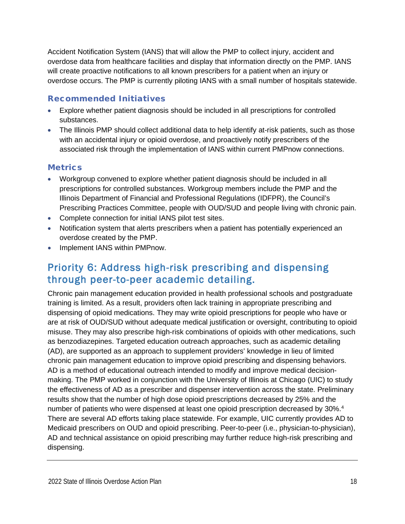Accident Notification System (IANS) that will allow the PMP to collect injury, accident and overdose data from healthcare facilities and display that information directly on the PMP. IANS will create proactive notifications to all known prescribers for a patient when an injury or overdose occurs. The PMP is currently piloting IANS with a small number of hospitals statewide.

#### Recommended Initiatives

- Explore whether patient diagnosis should be included in all prescriptions for controlled substances.
- The Illinois PMP should collect additional data to help identify at-risk patients, such as those with an accidental injury or opioid overdose, and proactively notify prescribers of the associated risk through the implementation of IANS within current PMPnow connections.

#### **Metrics**

- Workgroup convened to explore whether patient diagnosis should be included in all prescriptions for controlled substances. Workgroup members include the PMP and the Illinois Department of Financial and Professional Regulations (IDFPR), the Council's Prescribing Practices Committee, people with OUD/SUD and people living with chronic pain.
- Complete connection for initial IANS pilot test sites.
- Notification system that alerts prescribers when a patient has potentially experienced an overdose created by the PMP.
- Implement IANS within PMPnow.

## <span id="page-18-0"></span>Priority 6: Address high-risk prescribing and dispensing through peer-to-peer academic detailing.

Chronic pain management education provided in health professional schools and postgraduate training is limited. As a result, providers often lack training in appropriate prescribing and dispensing of opioid medications. They may write opioid prescriptions for people who have or are at risk of OUD/SUD without adequate medical justification or oversight, contributing to opioid misuse. They may also prescribe high-risk combinations of opioids with other medications, such as benzodiazepines. Targeted education outreach approaches, such as academic detailing (AD), are supported as an approach to supplement providers' knowledge in lieu of limited chronic pain management education to improve opioid prescribing and dispensing behaviors. AD is a method of educational outreach intended to modify and improve medical decisionmaking. The PMP worked in conjunction with the University of Illinois at Chicago (UIC) to study the effectiveness of AD as a prescriber and dispenser intervention across the state. Preliminary results show that the number of high dose opioid prescriptions decreased by 25% and the number of patients who were dispensed at least one opioid prescription decreased by 30%. 4 There are several AD efforts taking place statewide. For example, UIC currently provides AD to Medicaid prescribers on OUD and opioid prescribing. Peer-to-peer (i.e., physician-to-physician), AD and technical assistance on opioid prescribing may further reduce high-risk prescribing and dispensing.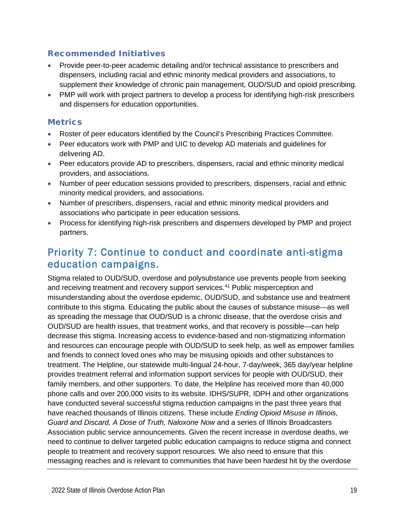#### Recommended Initiatives

- Provide peer-to-peer academic detailing and/or technical assistance to prescribers and dispensers, including racial and ethnic minority medical providers and associations, to supplement their knowledge of chronic pain management, OUD/SUD and opioid prescribing.
- PMP will work with project partners to develop a process for identifying high-risk prescribers and dispensers for education opportunities.

#### **Metrics**

- Roster of peer educators identified by the Council's Prescribing Practices Committee.
- Peer educators work with PMP and UIC to develop AD materials and guidelines for delivering AD.
- Peer educators provide AD to prescribers, dispensers, racial and ethnic minority medical providers, and associations.
- Number of peer education sessions provided to prescribers, dispensers, racial and ethnic minority medical providers, and associations.
- Number of prescribers, dispensers, racial and ethnic minority medical providers and associations who participate in peer education sessions.
- Process for identifying high-risk prescribers and dispensers developed by PMP and project partners.

## <span id="page-19-0"></span>Priority 7: Continue to conduct and coordinate anti-stigma education campaigns.

Stigma related to OUD/SUD, overdose and polysubstance use prevents people from seeking and receiving treatment and recovery support services. <sup>41</sup> Public misperception and misunderstanding about the overdose epidemic, OUD/SUD, and substance use and treatment contribute to this stigma. Educating the public about the causes of substance misuse—as well as spreading the message that OUD/SUD is a chronic disease, that the overdose crisis and OUD/SUD are health issues, that treatment works, and that recovery is possible—can help decrease this stigma. Increasing access to evidence-based and non-stigmatizing information and resources can encourage people with OUD/SUD to seek help, as well as empower families and friends to connect loved ones who may be misusing opioids and other substances to treatment. The Helpline, our statewide multi-lingual 24-hour, 7-day/week, 365 day/year helpline provides treatment referral and information support services for people with OUD/SUD, their family members, and other supporters. To date, the Helpline has received more than 40,000 phone calls and over 200,000 visits to its website. IDHS/SUPR, IDPH and other organizations have conducted several successful stigma reduction campaigns in the past three years that have reached thousands of Illinois citizens. These include *Ending Opioid Misuse in Illinois, Guard and Discard, A Dose of Truth, Naloxone Now* and a series of Illinois Broadcasters Association public service announcements. Given the recent increase in overdose deaths, we need to continue to deliver targeted public education campaigns to reduce stigma and connect people to treatment and recovery support resources. We also need to ensure that this messaging reaches and is relevant to communities that have been hardest hit by the overdose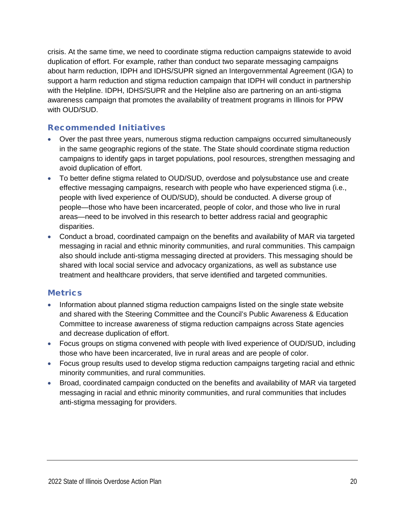crisis. At the same time, we need to coordinate stigma reduction campaigns statewide to avoid duplication of effort. For example, rather than conduct two separate messaging campaigns about harm reduction, IDPH and IDHS/SUPR signed an Intergovernmental Agreement (IGA) to support a harm reduction and stigma reduction campaign that IDPH will conduct in partnership with the Helpline. IDPH, IDHS/SUPR and the Helpline also are partnering on an anti-stigma awareness campaign that promotes the availability of treatment programs in Illinois for PPW with OUD/SUD.

#### Recommended Initiatives

- Over the past three years, numerous stigma reduction campaigns occurred simultaneously in the same geographic regions of the state. The State should coordinate stigma reduction campaigns to identify gaps in target populations, pool resources, strengthen messaging and avoid duplication of effort.
- To better define stigma related to OUD/SUD, overdose and polysubstance use and create effective messaging campaigns, research with people who have experienced stigma (i.e., people with lived experience of OUD/SUD), should be conducted. A diverse group of people—those who have been incarcerated, people of color, and those who live in rural areas—need to be involved in this research to better address racial and geographic disparities.
- Conduct a broad, coordinated campaign on the benefits and availability of MAR via targeted messaging in racial and ethnic minority communities, and rural communities. This campaign also should include anti-stigma messaging directed at providers. This messaging should be shared with local social service and advocacy organizations, as well as substance use treatment and healthcare providers, that serve identified and targeted communities.

- Information about planned stigma reduction campaigns listed on the single state website and shared with the Steering Committee and the Council's Public Awareness & Education Committee to increase awareness of stigma reduction campaigns across State agencies and decrease duplication of effort.
- Focus groups on stigma convened with people with lived experience of OUD/SUD, including those who have been incarcerated, live in rural areas and are people of color.
- Focus group results used to develop stigma reduction campaigns targeting racial and ethnic minority communities, and rural communities.
- Broad, coordinated campaign conducted on the benefits and availability of MAR via targeted messaging in racial and ethnic minority communities, and rural communities that includes anti-stigma messaging for providers.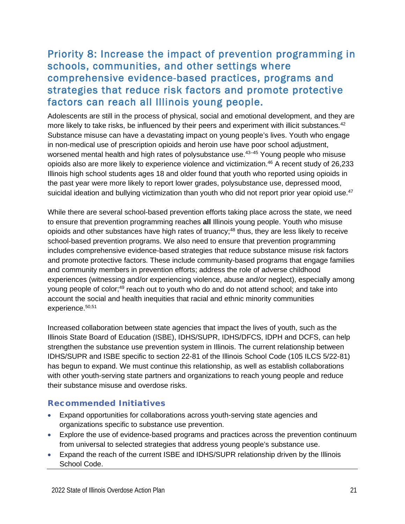## <span id="page-21-0"></span>Priority 8: Increase the impact of prevention programming in schools, communities, and other settings where comprehensive evidence-based practices, programs and strategies that reduce risk factors and promote protective factors can reach all Illinois young people.

Adolescents are still in the process of physical, social and emotional development, and they are more likely to take risks, be influenced by their peers and experiment with illicit substances*.* 42 Substance misuse can have a devastating impact on young people's lives. Youth who engage in non-medical use of prescription opioids and heroin use have poor school adjustment, worsened mental health and high rates of polysubstance use.<sup>43–45</sup> Young people who misuse opioids also are more likely to experience violence and victimization. <sup>46</sup> A recent study of 26,233 Illinois high school students ages 18 and older found that youth who reported using opioids in the past year were more likely to report lower grades, polysubstance use, depressed mood, suicidal ideation and bullying victimization than youth who did not report prior year opioid use. 47

While there are several school-based prevention efforts taking place across the state, we need to ensure that prevention programming reaches **all** Illinois young people. Youth who misuse opioids and other substances have high rates of truancy; <sup>48</sup> thus, they are less likely to receive school-based prevention programs. We also need to ensure that prevention programming includes comprehensive evidence-based strategies that reduce substance misuse risk factors and promote protective factors. These include community-based programs that engage families and community members in prevention efforts; address the role of adverse childhood experiences (witnessing and/or experiencing violence, abuse and/or neglect), especially among young people of color;<sup>49</sup> reach out to youth who do and do not attend school; and take into account the social and health inequities that racial and ethnic minority communities experience. 50,51

Increased collaboration between state agencies that impact the lives of youth, such as the Illinois State Board of Education (ISBE), IDHS/SUPR, IDHS/DFCS, IDPH and DCFS, can help strengthen the substance use prevention system in Illinois. The current relationship between IDHS/SUPR and ISBE specific to section 22-81 of the Illinois School Code (105 ILCS 5/22-81) has begun to expand. We must continue this relationship, as well as establish collaborations with other youth-serving state partners and organizations to reach young people and reduce their substance misuse and overdose risks.

#### Recommended Initiatives

- Expand opportunities for collaborations across youth-serving state agencies and organizations specific to substance use prevention.
- Explore the use of evidence-based programs and practices across the prevention continuum from universal to selected strategies that address young people's substance use.
- Expand the reach of the current ISBE and IDHS/SUPR relationship driven by the Illinois School Code.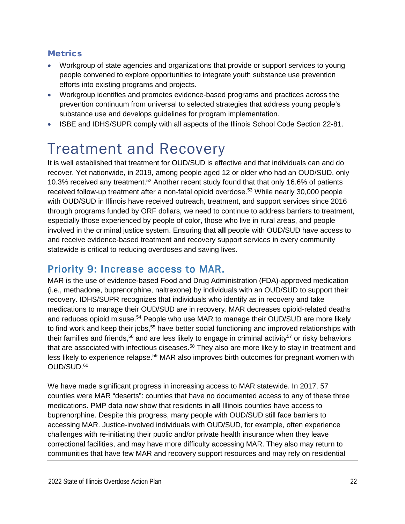#### **Metrics**

- Workgroup of state agencies and organizations that provide or support services to young people convened to explore opportunities to integrate youth substance use prevention efforts into existing programs and projects.
- Workgroup identifies and promotes evidence-based programs and practices across the prevention continuum from universal to selected strategies that address young people's substance use and develops guidelines for program implementation.
- <span id="page-22-0"></span>• ISBE and IDHS/SUPR comply with all aspects of the Illinois School Code Section 22-81.

## Treatment and Recovery

It is well established that treatment for OUD/SUD is effective and that individuals can and do recover. Yet nationwide, in 2019, among people aged 12 or older who had an OUD/SUD, only 10.3% received any treatment.<sup>52</sup> Another recent study found that that only 16.6% of patients received follow-up treatment after a non-fatal opioid overdose. <sup>53</sup> While nearly 30,000 people with OUD/SUD in Illinois have received outreach, treatment, and support services since 2016 through programs funded by ORF dollars, we need to continue to address barriers to treatment, especially those experienced by people of color, those who live in rural areas, and people involved in the criminal justice system. Ensuring that **all** people with OUD/SUD have access to and receive evidence-based treatment and recovery support services in every community statewide is critical to reducing overdoses and saving lives.

## <span id="page-22-1"></span>Priority 9: Increase access to MAR.

MAR is the use of evidence-based Food and Drug Administration (FDA)-approved medication (i.e., methadone, buprenorphine, naltrexone) by individuals with an OUD/SUD to support their recovery. IDHS/SUPR recognizes that individuals who identify as in recovery and take medications to manage their OUD/SUD *are* in recovery. MAR decreases opioid-related deaths and reduces opioid misuse.<sup>54</sup> People who use MAR to manage their OUD/SUD are more likely to find work and keep their jobs,<sup>55</sup> have better social functioning and improved relationships with their families and friends,<sup>56</sup> and are less likely to engage in criminal activity<sup>57</sup> or risky behaviors that are associated with infectious diseases.<sup>58</sup> They also are more likely to stay in treatment and less likely to experience relapse.<sup>59</sup> MAR also improves birth outcomes for pregnant women with OUD/SUD. 60

We have made significant progress in increasing access to MAR statewide. In 2017, 57 counties were MAR "deserts": counties that have no documented access to any of these three medications. PMP data now show that residents in **all** Illinois counties have access to buprenorphine. Despite this progress, many people with OUD/SUD still face barriers to accessing MAR. Justice-involved individuals with OUD/SUD, for example, often experience challenges with re-initiating their public and/or private health insurance when they leave correctional facilities, and may have more difficulty accessing MAR. They also may return to communities that have few MAR and recovery support resources and may rely on residential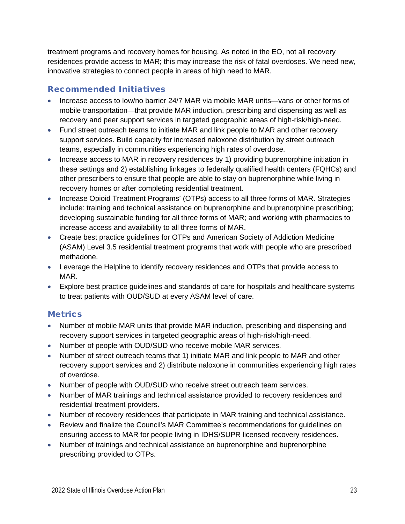treatment programs and recovery homes for housing. As noted in the EO, not all recovery residences provide access to MAR; this may increase the risk of fatal overdoses. We need new, innovative strategies to connect people in areas of high need to MAR.

#### Recommended Initiatives

- Increase access to low/no barrier 24/7 MAR via mobile MAR units—vans or other forms of mobile transportation—that provide MAR induction, prescribing and dispensing as well as recovery and peer support services in targeted geographic areas of high-risk/high-need.
- Fund street outreach teams to initiate MAR and link people to MAR and other recovery support services. Build capacity for increased naloxone distribution by street outreach teams, especially in communities experiencing high rates of overdose.
- Increase access to MAR in recovery residences by 1) providing buprenorphine initiation in these settings and 2) establishing linkages to federally qualified health centers (FQHCs) and other prescribers to ensure that people are able to stay on buprenorphine while living in recovery homes or after completing residential treatment.
- Increase Opioid Treatment Programs' (OTPs) access to all three forms of MAR. Strategies include: training and technical assistance on buprenorphine and buprenorphine prescribing; developing sustainable funding for all three forms of MAR; and working with pharmacies to increase access and availability to all three forms of MAR.
- Create best practice guidelines for OTPs and American Society of Addiction Medicine (ASAM) Level 3.5 residential treatment programs that work with people who are prescribed methadone.
- Leverage the Helpline to identify recovery residences and OTPs that provide access to MAR.
- Explore best practice guidelines and standards of care for hospitals and healthcare systems to treat patients with OUD/SUD at every ASAM level of care.

- Number of mobile MAR units that provide MAR induction, prescribing and dispensing and recovery support services in targeted geographic areas of high-risk/high-need.
- Number of people with OUD/SUD who receive mobile MAR services.
- Number of street outreach teams that 1) initiate MAR and link people to MAR and other recovery support services and 2) distribute naloxone in communities experiencing high rates of overdose.
- Number of people with OUD/SUD who receive street outreach team services.
- Number of MAR trainings and technical assistance provided to recovery residences and residential treatment providers.
- Number of recovery residences that participate in MAR training and technical assistance.
- Review and finalize the Council's MAR Committee's recommendations for guidelines on ensuring access to MAR for people living in IDHS/SUPR licensed recovery residences.
- Number of trainings and technical assistance on buprenorphine and buprenorphine prescribing provided to OTPs.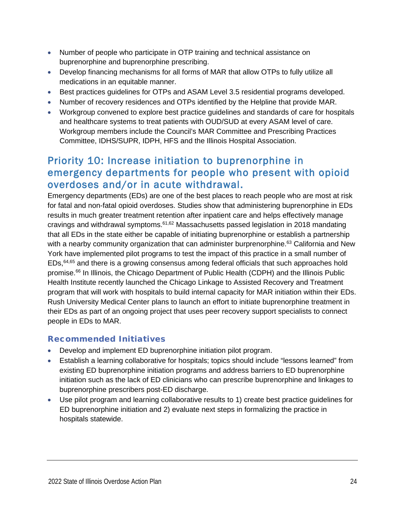- Number of people who participate in OTP training and technical assistance on buprenorphine and buprenorphine prescribing.
- Develop financing mechanisms for all forms of MAR that allow OTPs to fully utilize all medications in an equitable manner.
- Best practices guidelines for OTPs and ASAM Level 3.5 residential programs developed.
- Number of recovery residences and OTPs identified by the Helpline that provide MAR.
- Workgroup convened to explore best practice guidelines and standards of care for hospitals and healthcare systems to treat patients with OUD/SUD at every ASAM level of care. Workgroup members include the Council's MAR Committee and Prescribing Practices Committee, IDHS/SUPR, IDPH, HFS and the Illinois Hospital Association.

### <span id="page-24-0"></span>Priority 10: Increase initiation to buprenorphine in emergency departments for people who present with opioid overdoses and/or in acute withdrawal.

Emergency departments (EDs) are one of the best places to reach people who are most at risk for fatal and non-fatal opioid overdoses. Studies show that administering buprenorphine in EDs results in much greater treatment retention after inpatient care and helps effectively manage cravings and withdrawal symptoms.<sup>61,62</sup> Massachusetts passed legislation in 2018 mandating that all EDs in the state either be capable of initiating buprenorphine or establish a partnership with a nearby community organization that can administer burprenorphine.<sup>63</sup> California and New York have implemented pilot programs to test the impact of this practice in a small number of EDs,<sup>64,65</sup> and there is a growing consensus among federal officials that such approaches hold promise. <sup>66</sup> In Illinois, the Chicago Department of Public Health (CDPH) and the Illinois Public Health Institute recently launched the Chicago Linkage to Assisted Recovery and Treatment program that will work with hospitals to build internal capacity for MAR initiation within their EDs. Rush University Medical Center plans to launch an effort to initiate buprenorphine treatment in their EDs as part of an ongoing project that uses peer recovery support specialists to connect people in EDs to MAR.

#### Recommended Initiatives

- Develop and implement ED buprenorphine initiation pilot program.
- Establish a learning collaborative for hospitals; topics should include "lessons learned" from existing ED buprenorphine initiation programs and address barriers to ED buprenorphine initiation such as the lack of ED clinicians who can prescribe buprenorphine and linkages to buprenorphine prescribers post-ED discharge.
- Use pilot program and learning collaborative results to 1) create best practice guidelines for ED buprenorphine initiation and 2) evaluate next steps in formalizing the practice in hospitals statewide.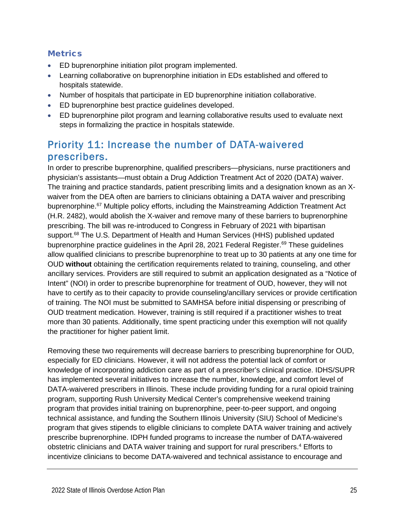#### **Metrics**

- ED buprenorphine initiation pilot program implemented.
- Learning collaborative on buprenorphine initiation in EDs established and offered to hospitals statewide.
- Number of hospitals that participate in ED buprenorphine initiation collaborative.
- ED buprenorphine best practice guidelines developed.
- ED buprenorphine pilot program and learning collaborative results used to evaluate next steps in formalizing the practice in hospitals statewide.

## <span id="page-25-0"></span>Priority 11: Increase the number of DATA-waivered prescribers.

In order to prescribe buprenorphine, qualified prescribers—physicians, nurse practitioners and physician's assistants—must obtain a Drug Addiction Treatment Act of 2020 (DATA) waiver. The training and practice standards, patient prescribing limits and a designation known as an Xwaiver from the DEA often are barriers to clinicians obtaining a DATA waiver and prescribing buprenorphine.<sup>67</sup> Multiple policy efforts, including the Mainstreaming Addiction Treatment Act (H.R. 2482), would abolish the X-waiver and remove many of these barriers to buprenorphine prescribing. The bill was re-introduced to Congress in February of 2021 with bipartisan support.<sup>68</sup> The U.S. Department of Health and Human Services (HHS) published updated buprenorphine practice guidelines in the April 28, 2021 Federal Register.<sup>69</sup> These guidelines allow qualified clinicians to prescribe buprenorphine to treat up to 30 patients at any one time for OUD **without** obtaining the certification requirements related to training, counseling, and other ancillary services. Providers are still required to submit an application designated as a "Notice of Intent" (NOI) in order to prescribe buprenorphine for treatment of OUD, however, they will not have to certify as to their capacity to provide counseling/ancillary services or provide certification of training. The NOI must be submitted to SAMHSA before initial dispensing or prescribing of OUD treatment medication. However, training is still required if a practitioner wishes to treat more than 30 patients. Additionally, time spent practicing under this exemption will not qualify the practitioner for higher patient limit.

Removing these two requirements will decrease barriers to prescribing buprenorphine for OUD, especially for ED clinicians. However, it will not address the potential lack of comfort or knowledge of incorporating addiction care as part of a prescriber's clinical practice. IDHS/SUPR has implemented several initiatives to increase the number, knowledge, and comfort level of DATA-waivered prescribers in Illinois. These include providing funding for a rural opioid training program, supporting Rush University Medical Center's comprehensive weekend training program that provides initial training on buprenorphine, peer-to-peer support, and ongoing technical assistance, and funding the Southern Illinois University (SIU) School of Medicine's program that gives stipends to eligible clinicians to complete DATA waiver training and actively prescribe buprenorphine. IDPH funded programs to increase the number of DATA-waivered obstetric clinicians and DATA waiver training and support for rural prescribers. <sup>4</sup> Efforts to incentivize clinicians to become DATA-waivered and technical assistance to encourage and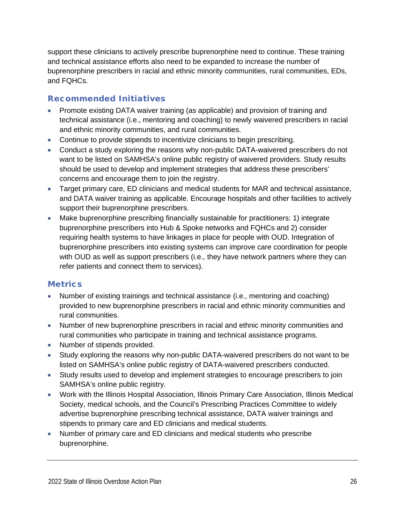support these clinicians to actively prescribe buprenorphine need to continue. These training and technical assistance efforts also need to be expanded to increase the number of buprenorphine prescribers in racial and ethnic minority communities, rural communities, EDs, and FQHCs.

#### Recommended Initiatives

- Promote existing DATA waiver training (as applicable) and provision of training and technical assistance (i.e., mentoring and coaching) to newly waivered prescribers in racial and ethnic minority communities, and rural communities.
- Continue to provide stipends to incentivize clinicians to begin prescribing.
- Conduct a study exploring the reasons why non-public DATA-waivered prescribers do not want to be listed on SAMHSA's online public registry of waivered providers. Study results should be used to develop and implement strategies that address these prescribers' concerns and encourage them to join the registry.
- Target primary care, ED clinicians and medical students for MAR and technical assistance, and DATA waiver training as applicable. Encourage hospitals and other facilities to actively support their buprenorphine prescribers.
- Make buprenorphine prescribing financially sustainable for practitioners: 1) integrate buprenorphine prescribers into Hub & Spoke networks and FQHCs and 2) consider requiring health systems to have linkages in place for people with OUD. Integration of buprenorphine prescribers into existing systems can improve care coordination for people with OUD as well as support prescribers (i.e., they have network partners where they can refer patients and connect them to services).

- Number of existing trainings and technical assistance (i.e., mentoring and coaching) provided to new buprenorphine prescribers in racial and ethnic minority communities and rural communities.
- Number of new buprenorphine prescribers in racial and ethnic minority communities and rural communities who participate in training and technical assistance programs.
- Number of stipends provided.
- Study exploring the reasons why non-public DATA-waivered prescribers do not want to be listed on SAMHSA's online public registry of DATA-waivered prescribers conducted.
- Study results used to develop and implement strategies to encourage prescribers to join SAMHSA's online public registry.
- Work with the Illinois Hospital Association, Illinois Primary Care Association, Illinois Medical Society, medical schools, and the Council's Prescribing Practices Committee to widely advertise buprenorphine prescribing technical assistance, DATA waiver trainings and stipends to primary care and ED clinicians and medical students.
- Number of primary care and ED clinicians and medical students who prescribe buprenorphine.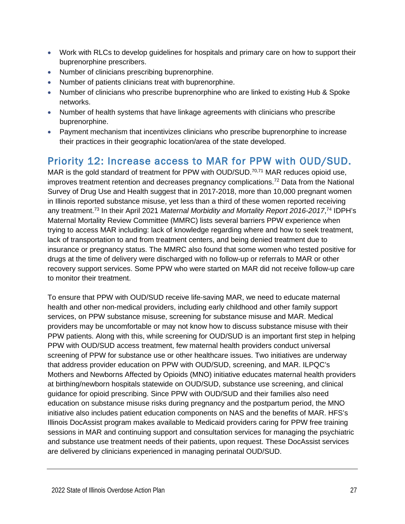- Work with RLCs to develop guidelines for hospitals and primary care on how to support their buprenorphine prescribers.
- Number of clinicians prescribing buprenorphine.
- Number of patients clinicians treat with buprenorphine.
- Number of clinicians who prescribe buprenorphine who are linked to existing Hub & Spoke networks.
- Number of health systems that have linkage agreements with clinicians who prescribe buprenorphine.
- Payment mechanism that incentivizes clinicians who prescribe buprenorphine to increase their practices in their geographic location/area of the state developed.

## <span id="page-27-0"></span>Priority 12: Increase access to MAR for PPW with OUD/SUD.

MAR is the gold standard of treatment for PPW with OUD/SUD.<sup>70,71</sup> MAR reduces opioid use, improves treatment retention and decreases pregnancy complications.<sup>72</sup> Data from the National Survey of Drug Use and Health suggest that in 2017-2018, more than 10,000 pregnant women in Illinois reported substance misuse, yet less than a third of these women reported receiving any treatment.73 In their April 2021 *Maternal Morbidity and Mortality Report 2016-2017*, <sup>74</sup> IDPH's Maternal Mortality Review Committee (MMRC) lists several barriers PPW experience when trying to access MAR including: lack of knowledge regarding where and how to seek treatment, lack of transportation to and from treatment centers, and being denied treatment due to insurance or pregnancy status. The MMRC also found that some women who tested positive for drugs at the time of delivery were discharged with no follow-up or referrals to MAR or other recovery support services. Some PPW who were started on MAR did not receive follow-up care to monitor their treatment.

To ensure that PPW with OUD/SUD receive life-saving MAR, we need to educate maternal health and other non-medical providers, including early childhood and other family support services, on PPW substance misuse, screening for substance misuse and MAR. Medical providers may be uncomfortable or may not know how to discuss substance misuse with their PPW patients. Along with this, while screening for OUD/SUD is an important first step in helping PPW with OUD/SUD access treatment, few maternal health providers conduct universal screening of PPW for substance use or other healthcare issues. Two initiatives are underway that address provider education on PPW with OUD/SUD, screening, and MAR. ILPQC's Mothers and Newborns Affected by Opioids (MNO) initiative educates maternal health providers at birthing/newborn hospitals statewide on OUD/SUD, substance use screening, and clinical guidance for opioid prescribing. Since PPW with OUD/SUD and their families also need education on substance misuse risks during pregnancy and the postpartum period, the MNO initiative also includes patient education components on NAS and the benefits of MAR. HFS's Illinois DocAssist program makes available to Medicaid providers caring for PPW free training sessions in MAR and continuing support and consultation services for managing the psychiatric and substance use treatment needs of their patients, upon request. These DocAssist services are delivered by clinicians experienced in managing perinatal OUD/SUD.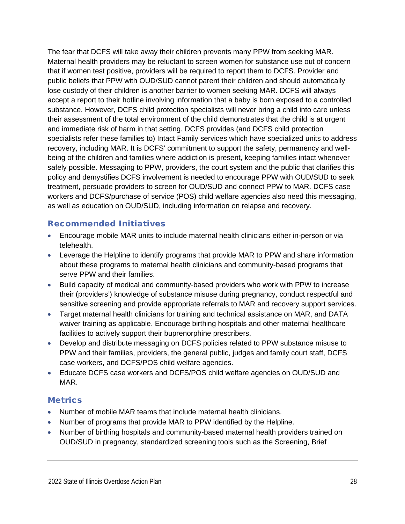The fear that DCFS will take away their children prevents many PPW from seeking MAR. Maternal health providers may be reluctant to screen women for substance use out of concern that if women test positive, providers will be required to report them to DCFS. Provider and public beliefs that PPW with OUD/SUD cannot parent their children and should automatically lose custody of their children is another barrier to women seeking MAR. DCFS will always accept a report to their hotline involving information that a baby is born exposed to a controlled substance. However, DCFS child protection specialists will never bring a child into care unless their assessment of the total environment of the child demonstrates that the child is at urgent and immediate risk of harm in that setting. DCFS provides (and DCFS child protection specialists refer these families to) Intact Family services which have specialized units to address recovery, including MAR. It is DCFS' commitment to support the safety, permanency and wellbeing of the children and families where addiction is present, keeping families intact whenever safely possible. Messaging to PPW, providers, the court system and the public that clarifies this policy and demystifies DCFS involvement is needed to encourage PPW with OUD/SUD to seek treatment, persuade providers to screen for OUD/SUD and connect PPW to MAR. DCFS case workers and DCFS/purchase of service (POS) child welfare agencies also need this messaging, as well as education on OUD/SUD, including information on relapse and recovery.

#### Recommended Initiatives

- Encourage mobile MAR units to include maternal health clinicians either in-person or via telehealth.
- Leverage the Helpline to identify programs that provide MAR to PPW and share information about these programs to maternal health clinicians and community-based programs that serve PPW and their families.
- Build capacity of medical and community-based providers who work with PPW to increase their (providers') knowledge of substance misuse during pregnancy, conduct respectful and sensitive screening and provide appropriate referrals to MAR and recovery support services.
- Target maternal health clinicians for training and technical assistance on MAR, and DATA waiver training as applicable. Encourage birthing hospitals and other maternal healthcare facilities to actively support their buprenorphine prescribers.
- Develop and distribute messaging on DCFS policies related to PPW substance misuse to PPW and their families, providers, the general public, judges and family court staff, DCFS case workers, and DCFS/POS child welfare agencies.
- Educate DCFS case workers and DCFS/POS child welfare agencies on OUD/SUD and MAR.

- Number of mobile MAR teams that include maternal health clinicians.
- Number of programs that provide MAR to PPW identified by the Helpline.
- Number of birthing hospitals and community-based maternal health providers trained on OUD/SUD in pregnancy, standardized screening tools such as the Screening, Brief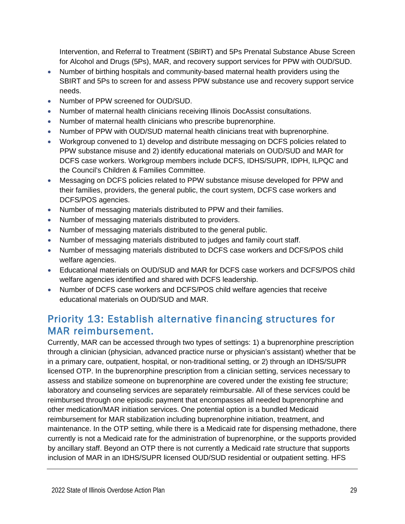Intervention, and Referral to Treatment (SBIRT) and 5Ps Prenatal Substance Abuse Screen for Alcohol and Drugs (5Ps), MAR, and recovery support services for PPW with OUD/SUD.

- Number of birthing hospitals and community-based maternal health providers using the SBIRT and 5Ps to screen for and assess PPW substance use and recovery support service needs.
- Number of PPW screened for OUD/SUD.
- Number of maternal health clinicians receiving Illinois DocAssist consultations.
- Number of maternal health clinicians who prescribe buprenorphine.
- Number of PPW with OUD/SUD maternal health clinicians treat with buprenorphine.
- Workgroup convened to 1) develop and distribute messaging on DCFS policies related to PPW substance misuse and 2) identify educational materials on OUD/SUD and MAR for DCFS case workers. Workgroup members include DCFS, IDHS/SUPR, IDPH, ILPQC and the Council's Children & Families Committee.
- Messaging on DCFS policies related to PPW substance misuse developed for PPW and their families, providers, the general public, the court system, DCFS case workers and DCFS/POS agencies.
- Number of messaging materials distributed to PPW and their families.
- Number of messaging materials distributed to providers.
- Number of messaging materials distributed to the general public.
- Number of messaging materials distributed to judges and family court staff.
- Number of messaging materials distributed to DCFS case workers and DCFS/POS child welfare agencies.
- Educational materials on OUD/SUD and MAR for DCFS case workers and DCFS/POS child welfare agencies identified and shared with DCFS leadership.
- Number of DCFS case workers and DCFS/POS child welfare agencies that receive educational materials on OUD/SUD and MAR.

## <span id="page-29-0"></span>Priority 13: Establish alternative financing structures for MAR reimbursement.

Currently, MAR can be accessed through two types of settings: 1) a buprenorphine prescription through a clinician (physician, advanced practice nurse or physician's assistant) whether that be in a primary care, outpatient, hospital, or non-traditional setting, or 2) through an IDHS/SUPR licensed OTP. In the buprenorphine prescription from a clinician setting, services necessary to assess and stabilize someone on buprenorphine are covered under the existing fee structure; laboratory and counseling services are separately reimbursable. All of these services could be reimbursed through one episodic payment that encompasses all needed buprenorphine and other medication/MAR initiation services. One potential option is a bundled Medicaid reimbursement for MAR stabilization including buprenorphine initiation, treatment, and maintenance. In the OTP setting, while there is a Medicaid rate for dispensing methadone, there currently is not a Medicaid rate for the administration of buprenorphine, or the supports provided by ancillary staff. Beyond an OTP there is not currently a Medicaid rate structure that supports inclusion of MAR in an IDHS/SUPR licensed OUD/SUD residential or outpatient setting. HFS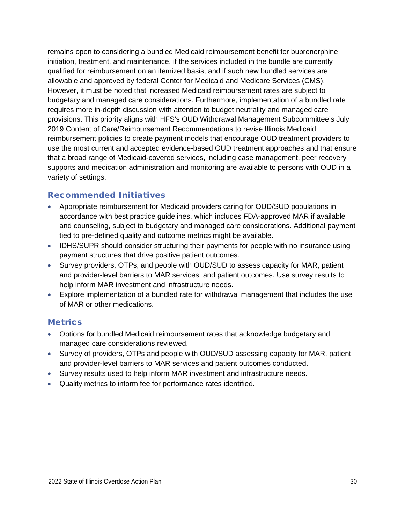remains open to considering a bundled Medicaid reimbursement benefit for buprenorphine initiation, treatment, and maintenance, if the services included in the bundle are currently qualified for reimbursement on an itemized basis, and if such new bundled services are allowable and approved by federal Center for Medicaid and Medicare Services (CMS). However, it must be noted that increased Medicaid reimbursement rates are subject to budgetary and managed care considerations. Furthermore, implementation of a bundled rate requires more in-depth discussion with attention to budget neutrality and managed care provisions. This priority aligns with HFS's OUD Withdrawal Management Subcommittee's July 2019 Content of Care/Reimbursement Recommendations to revise Illinois Medicaid reimbursement policies to create payment models that encourage OUD treatment providers to use the most current and accepted evidence-based OUD treatment approaches and that ensure that a broad range of Medicaid-covered services, including case management, peer recovery supports and medication administration and monitoring are available to persons with OUD in a variety of settings.

#### Recommended Initiatives

- Appropriate reimbursement for Medicaid providers caring for OUD/SUD populations in accordance with best practice guidelines, which includes FDA-approved MAR if available and counseling, subject to budgetary and managed care considerations. Additional payment tied to pre-defined quality and outcome metrics might be available.
- IDHS/SUPR should consider structuring their payments for people with no insurance using payment structures that drive positive patient outcomes.
- Survey providers, OTPs, and people with OUD/SUD to assess capacity for MAR, patient and provider-level barriers to MAR services, and patient outcomes. Use survey results to help inform MAR investment and infrastructure needs.
- Explore implementation of a bundled rate for withdrawal management that includes the use of MAR or other medications.

- Options for bundled Medicaid reimbursement rates that acknowledge budgetary and managed care considerations reviewed.
- Survey of providers, OTPs and people with OUD/SUD assessing capacity for MAR, patient and provider-level barriers to MAR services and patient outcomes conducted.
- Survey results used to help inform MAR investment and infrastructure needs.
- Quality metrics to inform fee for performance rates identified.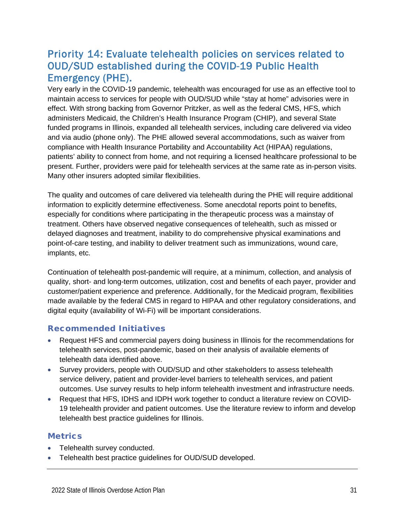## <span id="page-31-0"></span>Priority 14: Evaluate telehealth policies on services related to OUD/SUD established during the COVID-19 Public Health Emergency (PHE).

Very early in the COVID-19 pandemic, telehealth was encouraged for use as an effective tool to maintain access to services for people with OUD/SUD while "stay at home" advisories were in effect. With strong backing from Governor Pritzker, as well as the federal CMS, HFS, which administers Medicaid, the Children's Health Insurance Program (CHIP), and several State funded programs in Illinois, expanded all telehealth services, including care delivered via video and via audio (phone only). The PHE allowed several accommodations, such as waiver from compliance with Health Insurance Portability and Accountability Act (HIPAA) regulations, patients' ability to connect from home, and not requiring a licensed healthcare professional to be present. Further, providers were paid for telehealth services at the same rate as in-person visits. Many other insurers adopted similar flexibilities.

The quality and outcomes of care delivered via telehealth during the PHE will require additional information to explicitly determine effectiveness. Some anecdotal reports point to benefits, especially for conditions where participating in the therapeutic process was a mainstay of treatment. Others have observed negative consequences of telehealth, such as missed or delayed diagnoses and treatment, inability to do comprehensive physical examinations and point-of-care testing, and inability to deliver treatment such as immunizations, wound care, implants, etc.

Continuation of telehealth post-pandemic will require, at a minimum, collection, and analysis of quality, short- and long-term outcomes, utilization, cost and benefits of each payer, provider and customer/patient experience and preference. Additionally, for the Medicaid program, flexibilities made available by the federal CMS in regard to HIPAA and other regulatory considerations, and digital equity (availability of Wi-Fi) will be important considerations.

#### Recommended Initiatives

- Request HFS and commercial payers doing business in Illinois for the recommendations for telehealth services, post-pandemic, based on their analysis of available elements of telehealth data identified above.
- Survey providers, people with OUD/SUD and other stakeholders to assess telehealth service delivery, patient and provider-level barriers to telehealth services, and patient outcomes. Use survey results to help inform telehealth investment and infrastructure needs.
- Request that HFS, IDHS and IDPH work together to conduct a literature review on COVID-19 telehealth provider and patient outcomes. Use the literature review to inform and develop telehealth best practice guidelines for Illinois.

- Telehealth survey conducted.
- Telehealth best practice guidelines for OUD/SUD developed.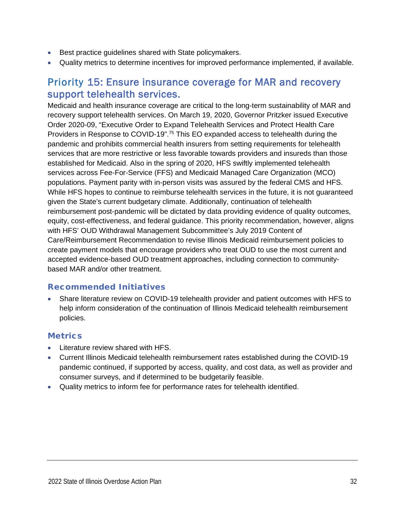- Best practice guidelines shared with State policymakers.
- Quality metrics to determine incentives for improved performance implemented, if available.

### <span id="page-32-0"></span>Priority 15: Ensure insurance coverage for MAR and recovery support telehealth services.

Medicaid and health insurance coverage are critical to the long-term sustainability of MAR and recovery support telehealth services. On March 19, 2020, Governor Pritzker issued Executive Order 2020-09, "Executive Order to Expand Telehealth Services and Protect Health Care Providers in Response to COVID-19".<sup>75</sup> This EO expanded access to telehealth during the pandemic and prohibits commercial health insurers from setting requirements for telehealth services that are more restrictive or less favorable towards providers and insureds than those established for Medicaid. Also in the spring of 2020, HFS swiftly implemented telehealth services across Fee-For-Service (FFS) and Medicaid Managed Care Organization (MCO) populations. Payment parity with in-person visits was assured by the federal CMS and HFS. While HFS hopes to continue to reimburse telehealth services in the future, it is not guaranteed given the State's current budgetary climate. Additionally, continuation of telehealth reimbursement post-pandemic will be dictated by data providing evidence of quality outcomes, equity, cost-effectiveness, and federal guidance. This priority recommendation, however, aligns with HFS' OUD Withdrawal Management Subcommittee's July 2019 Content of Care/Reimbursement Recommendation to revise Illinois Medicaid reimbursement policies to create payment models that encourage providers who treat OUD to use the most current and accepted evidence-based OUD treatment approaches, including connection to communitybased MAR and/or other treatment.

#### Recommended Initiatives

• Share literature review on COVID-19 telehealth provider and patient outcomes with HFS to help inform consideration of the continuation of Illinois Medicaid telehealth reimbursement policies.

- Literature review shared with HFS.
- Current Illinois Medicaid telehealth reimbursement rates established during the COVID-19 pandemic continued, if supported by access, quality, and cost data, as well as provider and consumer surveys, and if determined to be budgetarily feasible.
- Quality metrics to inform fee for performance rates for telehealth identified.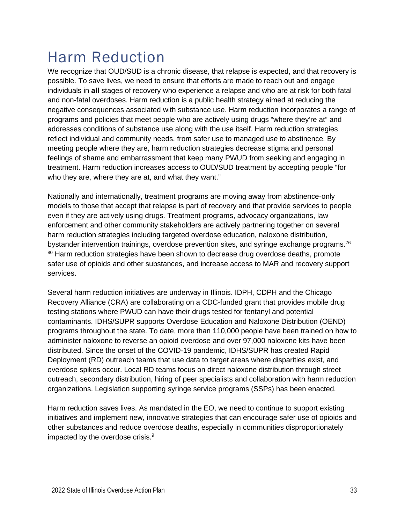## <span id="page-33-0"></span>Harm Reduction

We recognize that OUD/SUD is a chronic disease, that relapse is expected, and that recovery is possible. To save lives, we need to ensure that efforts are made to reach out and engage individuals in **all** stages of recovery who experience a relapse and who are at risk for both fatal and non-fatal overdoses. Harm reduction is a public health strategy aimed at reducing the negative consequences associated with substance use. Harm reduction incorporates a range of programs and policies that meet people who are actively using drugs "where they're at" and addresses conditions of substance use along with the use itself. Harm reduction strategies reflect individual and community needs, from safer use to managed use to abstinence. By meeting people where they are, harm reduction strategies decrease stigma and personal feelings of shame and embarrassment that keep many PWUD from seeking and engaging in treatment. Harm reduction increases access to OUD/SUD treatment by accepting people "for who they are, where they are at, and what they want."

Nationally and internationally, treatment programs are moving away from abstinence-only models to those that accept that relapse is part of recovery and that provide services to people even if they are actively using drugs. Treatment programs, advocacy organizations, law enforcement and other community stakeholders are actively partnering together on several harm reduction strategies including targeted overdose education, naloxone distribution, bystander intervention trainings, overdose prevention sites, and syringe exchange programs.<sup>76–</sup> <sup>80</sup> Harm reduction strategies have been shown to decrease drug overdose deaths, promote safer use of opioids and other substances, and increase access to MAR and recovery support services.

Several harm reduction initiatives are underway in Illinois. IDPH, CDPH and the Chicago Recovery Alliance (CRA) are collaborating on a CDC-funded grant that provides mobile drug testing stations where PWUD can have their drugs tested for fentanyl and potential contaminants. IDHS/SUPR supports Overdose Education and Naloxone Distribution (OEND) programs throughout the state. To date, more than 110,000 people have been trained on how to administer naloxone to reverse an opioid overdose and over 97,000 naloxone kits have been distributed. Since the onset of the COVID-19 pandemic, IDHS/SUPR has created Rapid Deployment (RD) outreach teams that use data to target areas where disparities exist, and overdose spikes occur. Local RD teams focus on direct naloxone distribution through street outreach, secondary distribution, hiring of peer specialists and collaboration with harm reduction organizations. Legislation supporting syringe service programs (SSPs) has been enacted.

Harm reduction saves lives. As mandated in the EO, we need to continue to support existing initiatives and implement new, innovative strategies that can encourage safer use of opioids and other substances and reduce overdose deaths, especially in communities disproportionately impacted by the overdose crisis.<sup>9</sup>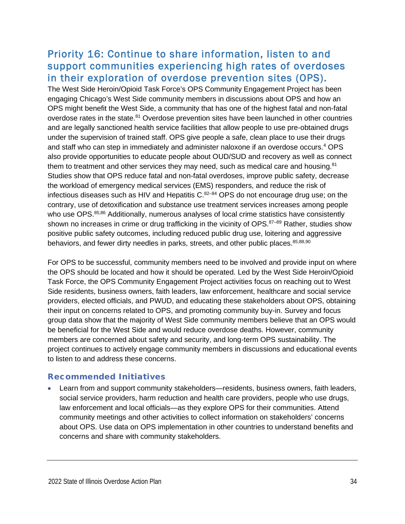### <span id="page-34-0"></span>Priority 16: Continue to share information, listen to and support communities experiencing high rates of overdoses in their exploration of overdose prevention sites (OPS).

The West Side Heroin/Opioid Task Force's OPS Community Engagement Project has been engaging Chicago's West Side community members in discussions about OPS and how an OPS might benefit the West Side, a community that has one of the highest fatal and non-fatal overdose rates in the state.<sup>81</sup> Overdose prevention sites have been launched in other countries and are legally sanctioned health service facilities that allow people to use pre-obtained drugs under the supervision of trained staff. OPS give people a safe, clean place to use their drugs and staff who can step in immediately and administer naloxone if an overdose occurs. <sup>4</sup> OPS also provide opportunities to educate people about OUD/SUD and recovery as well as connect them to treatment and other services they may need, such as medical care and housing. $81$ Studies show that OPS reduce fatal and non-fatal overdoses, improve public safety, decrease the workload of emergency medical services (EMS) responders, and reduce the risk of infectious diseases such as HIV and Hepatitis  $C^{82-84}$  OPS do not encourage drug use; on the contrary, use of detoxification and substance use treatment services increases among people who use OPS.<sup>85,86</sup> Additionally, numerous analyses of local crime statistics have consistently shown no increases in crime or drug trafficking in the vicinity of OPS.<sup>87-89</sup> Rather, studies show positive public safety outcomes, including reduced public drug use, loitering and aggressive behaviors, and fewer dirty needles in parks, streets, and other public places.<sup>85,88,90</sup>

For OPS to be successful, community members need to be involved and provide input on where the OPS should be located and how it should be operated. Led by the West Side Heroin/Opioid Task Force, the OPS Community Engagement Project activities focus on reaching out to West Side residents, business owners, faith leaders, law enforcement, healthcare and social service providers, elected officials, and PWUD, and educating these stakeholders about OPS, obtaining their input on concerns related to OPS, and promoting community buy-in. Survey and focus group data show that the majority of West Side community members believe that an OPS would be beneficial for the West Side and would reduce overdose deaths. However, community members are concerned about safety and security, and long-term OPS sustainability. The project continues to actively engage community members in discussions and educational events to listen to and address these concerns.

#### Recommended Initiatives

• Learn from and support community stakeholders—residents, business owners, faith leaders, social service providers, harm reduction and health care providers, people who use drugs, law enforcement and local officials—as they explore OPS for their communities. Attend community meetings and other activities to collect information on stakeholders' concerns about OPS. Use data on OPS implementation in other countries to understand benefits and concerns and share with community stakeholders.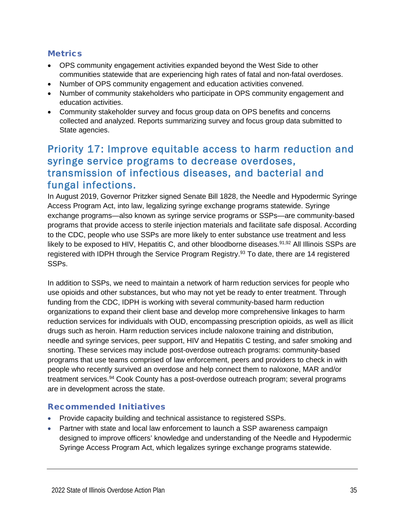#### **Metrics**

- OPS community engagement activities expanded beyond the West Side to other communities statewide that are experiencing high rates of fatal and non-fatal overdoses.
- Number of OPS community engagement and education activities convened.
- Number of community stakeholders who participate in OPS community engagement and education activities.
- Community stakeholder survey and focus group data on OPS benefits and concerns collected and analyzed. Reports summarizing survey and focus group data submitted to State agencies.

### <span id="page-35-0"></span>Priority 17: Improve equitable access to harm reduction and syringe service programs to decrease overdoses, transmission of infectious diseases, and bacterial and fungal infections.

In August 2019, Governor Pritzker signed Senate Bill 1828, the Needle and Hypodermic Syringe Access Program Act, into law, legalizing syringe exchange programs statewide. Syringe exchange programs—also known as syringe service programs or SSPs—are community-based programs that provide access to sterile injection materials and facilitate safe disposal. According to the CDC, people who use SSPs are more likely to enter substance use treatment and less likely to be exposed to HIV, Hepatitis C, and other bloodborne diseases.<sup>91,92</sup> All Illinois SSPs are registered with IDPH through the Service Program Registry. <sup>93</sup> To date, there are 14 registered SSPs.

In addition to SSPs, we need to maintain a network of harm reduction services for people who use opioids and other substances, but who may not yet be ready to enter treatment. Through funding from the CDC, IDPH is working with several community-based harm reduction organizations to expand their client base and develop more comprehensive linkages to harm reduction services for individuals with OUD, encompassing prescription opioids, as well as illicit drugs such as heroin. Harm reduction services include naloxone training and distribution, needle and syringe services, peer support, HIV and Hepatitis C testing, and safer smoking and snorting. These services may include post-overdose outreach programs: community-based programs that use teams comprised of law enforcement, peers and providers to check in with people who recently survived an overdose and help connect them to naloxone, MAR and/or treatment services.<sup>94</sup> Cook County has a post-overdose outreach program; several programs are in development across the state.

#### Recommended Initiatives

- Provide capacity building and technical assistance to registered SSPs.
- Partner with state and local law enforcement to launch a SSP awareness campaign designed to improve officers' knowledge and understanding of the Needle and Hypodermic Syringe Access Program Act, which legalizes syringe exchange programs statewide.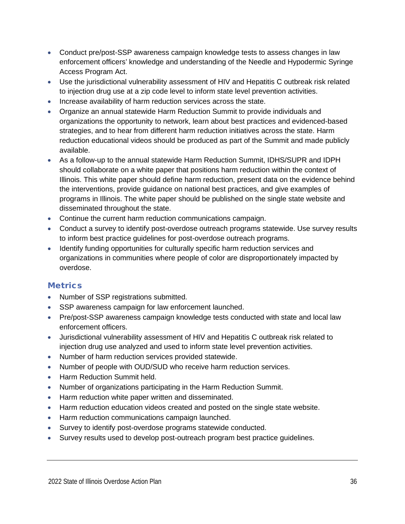- Conduct pre/post-SSP awareness campaign knowledge tests to assess changes in law enforcement officers' knowledge and understanding of the Needle and Hypodermic Syringe Access Program Act.
- Use the jurisdictional vulnerability assessment of HIV and Hepatitis C outbreak risk related to injection drug use at a zip code level to inform state level prevention activities.
- Increase availability of harm reduction services across the state.
- Organize an annual statewide Harm Reduction Summit to provide individuals and organizations the opportunity to network, learn about best practices and evidenced-based strategies, and to hear from different harm reduction initiatives across the state. Harm reduction educational videos should be produced as part of the Summit and made publicly available.
- As a follow-up to the annual statewide Harm Reduction Summit, IDHS/SUPR and IDPH should collaborate on a white paper that positions harm reduction within the context of Illinois. This white paper should define harm reduction, present data on the evidence behind the interventions, provide guidance on national best practices, and give examples of programs in Illinois. The white paper should be published on the single state website and disseminated throughout the state.
- Continue the current harm reduction communications campaign.
- Conduct a survey to identify post-overdose outreach programs statewide. Use survey results to inform best practice guidelines for post-overdose outreach programs.
- Identify funding opportunities for culturally specific harm reduction services and organizations in communities where people of color are disproportionately impacted by overdose.

- Number of SSP registrations submitted.
- SSP awareness campaign for law enforcement launched.
- Pre/post-SSP awareness campaign knowledge tests conducted with state and local law enforcement officers.
- Jurisdictional vulnerability assessment of HIV and Hepatitis C outbreak risk related to injection drug use analyzed and used to inform state level prevention activities.
- Number of harm reduction services provided statewide.
- Number of people with OUD/SUD who receive harm reduction services.
- Harm Reduction Summit held.
- Number of organizations participating in the Harm Reduction Summit.
- Harm reduction white paper written and disseminated.
- Harm reduction education videos created and posted on the single state website.
- Harm reduction communications campaign launched.
- Survey to identify post-overdose programs statewide conducted.
- Survey results used to develop post-outreach program best practice guidelines.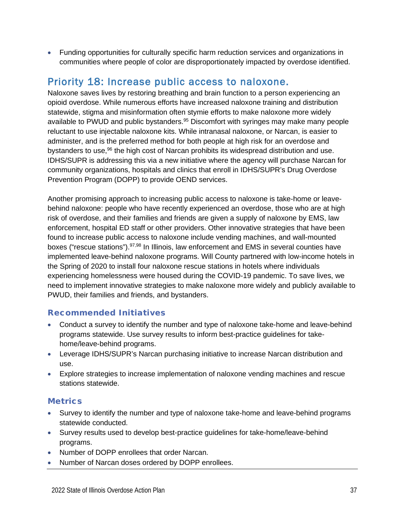• Funding opportunities for culturally specific harm reduction services and organizations in communities where people of color are disproportionately impacted by overdose identified.

## <span id="page-37-0"></span>Priority 18: Increase public access to naloxone.

Naloxone saves lives by restoring breathing and brain function to a person experiencing an opioid overdose. While numerous efforts have increased naloxone training and distribution statewide, stigma and misinformation often stymie efforts to make naloxone more widely available to PWUD and public bystanders.<sup>95</sup> Discomfort with syringes may make many people reluctant to use injectable naloxone kits. While intranasal naloxone, or Narcan, is easier to administer, and is the preferred method for both people at high risk for an overdose and bystanders to use,<sup>96</sup> the high cost of Narcan prohibits its widespread distribution and use. IDHS/SUPR is addressing this via a new initiative where the agency will purchase Narcan for community organizations, hospitals and clinics that enroll in IDHS/SUPR's Drug Overdose Prevention Program (DOPP) to provide OEND services.

Another promising approach to increasing public access to naloxone is take-home or leavebehind naloxone: people who have recently experienced an overdose, those who are at high risk of overdose, and their families and friends are given a supply of naloxone by EMS, law enforcement, hospital ED staff or other providers. Other innovative strategies that have been found to increase public access to naloxone include vending machines, and wall-mounted boxes ("rescue stations").<sup>97,98</sup> In Illinois, law enforcement and EMS in several counties have implemented leave-behind naloxone programs. Will County partnered with low-income hotels in the Spring of 2020 to install four naloxone rescue stations in hotels where individuals experiencing homelessness were housed during the COVID-19 pandemic. To save lives, we need to implement innovative strategies to make naloxone more widely and publicly available to PWUD, their families and friends, and bystanders.

#### Recommended Initiatives

- Conduct a survey to identify the number and type of naloxone take-home and leave-behind programs statewide. Use survey results to inform best-practice guidelines for takehome/leave-behind programs.
- Leverage IDHS/SUPR's Narcan purchasing initiative to increase Narcan distribution and use.
- Explore strategies to increase implementation of naloxone vending machines and rescue stations statewide.

- Survey to identify the number and type of naloxone take-home and leave-behind programs statewide conducted.
- Survey results used to develop best-practice guidelines for take-home/leave-behind programs.
- Number of DOPP enrollees that order Narcan.
- Number of Narcan doses ordered by DOPP enrollees.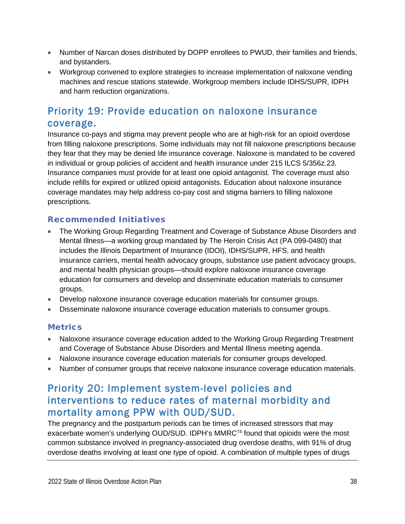- Number of Narcan doses distributed by DOPP enrollees to PWUD, their families and friends, and bystanders.
- Workgroup convened to explore strategies to increase implementation of naloxone vending machines and rescue stations statewide. Workgroup members include IDHS/SUPR, IDPH and harm reduction organizations.

## <span id="page-38-0"></span>Priority 19: Provide education on naloxone insurance coverage.

Insurance co-pays and stigma may prevent people who are at high-risk for an opioid overdose from filling naloxone prescriptions. Some individuals may not fill naloxone prescriptions because they fear that they may be denied life insurance coverage. Naloxone is mandated to be covered in individual or group policies of accident and health insurance under 215 ILCS 5/356z.23. Insurance companies must provide for at least one opioid antagonist. The coverage must also include refills for expired or utilized opioid antagonists. Education about naloxone insurance coverage mandates may help address co-pay cost and stigma barriers to filling naloxone prescriptions.

#### Recommended Initiatives

- The Working Group Regarding Treatment and Coverage of Substance Abuse Disorders and Mental Illness—a working group mandated by The Heroin Crisis Act (PA 099-0480) that includes the Illinois Department of Insurance (IDOI), IDHS/SUPR, HFS, and health insurance carriers, mental health advocacy groups, substance use patient advocacy groups, and mental health physician groups—should explore naloxone insurance coverage education for consumers and develop and disseminate education materials to consumer groups.
- Develop naloxone insurance coverage education materials for consumer groups.
- Disseminate naloxone insurance coverage education materials to consumer groups.

#### **Metrics**

- Naloxone insurance coverage education added to the Working Group Regarding Treatment and Coverage of Substance Abuse Disorders and Mental Illness meeting agenda.
- Naloxone insurance coverage education materials for consumer groups developed.
- Number of consumer groups that receive naloxone insurance coverage education materials.

## <span id="page-38-1"></span>Priority 20: Implement system-level policies and interventions to reduce rates of maternal morbidity and mortality among PPW with OUD/SUD.

The pregnancy and the postpartum periods can be times of increased stressors that may exacerbate women's underlying OUD/SUD. IDPH's MMRC74 found that opioids were the most common substance involved in pregnancy-associated drug overdose deaths, with 91% of drug overdose deaths involving at least one type of opioid. A combination of multiple types of drugs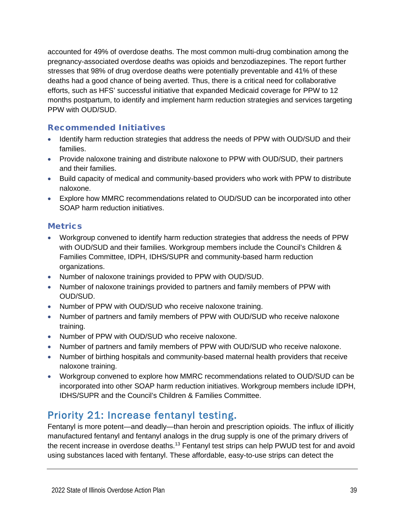accounted for 49% of overdose deaths. The most common multi-drug combination among the pregnancy-associated overdose deaths was opioids and benzodiazepines. The report further stresses that 98% of drug overdose deaths were potentially preventable and 41% of these deaths had a good chance of being averted. Thus, there is a critical need for collaborative efforts, such as HFS' successful initiative that expanded Medicaid coverage for PPW to 12 months postpartum, to identify and implement harm reduction strategies and services targeting PPW with OUD/SUD.

#### Recommended Initiatives

- Identify harm reduction strategies that address the needs of PPW with OUD/SUD and their families.
- Provide naloxone training and distribute naloxone to PPW with OUD/SUD, their partners and their families.
- Build capacity of medical and community-based providers who work with PPW to distribute naloxone.
- Explore how MMRC recommendations related to OUD/SUD can be incorporated into other SOAP harm reduction initiatives.

#### **Metrics**

- Workgroup convened to identify harm reduction strategies that address the needs of PPW with OUD/SUD and their families. Workgroup members include the Council's Children & Families Committee, IDPH, IDHS/SUPR and community-based harm reduction organizations.
- Number of naloxone trainings provided to PPW with OUD/SUD.
- Number of naloxone trainings provided to partners and family members of PPW with OUD/SUD.
- Number of PPW with OUD/SUD who receive naloxone training.
- Number of partners and family members of PPW with OUD/SUD who receive naloxone training.
- Number of PPW with OUD/SUD who receive naloxone.
- Number of partners and family members of PPW with OUD/SUD who receive naloxone.
- Number of birthing hospitals and community-based maternal health providers that receive naloxone training.
- Workgroup convened to explore how MMRC recommendations related to OUD/SUD can be incorporated into other SOAP harm reduction initiatives. Workgroup members include IDPH, IDHS/SUPR and the Council's Children & Families Committee.

## <span id="page-39-0"></span>Priority 21: Increase fentanyl testing.

Fentanyl is more potent—and deadly—than heroin and prescription opioids. The influx of illicitly manufactured fentanyl and fentanyl analogs in the drug supply is one of the primary drivers of the recent increase in overdose deaths.<sup>13</sup> Fentanyl test strips can help PWUD test for and avoid using substances laced with fentanyl. These affordable, easy-to-use strips can detect the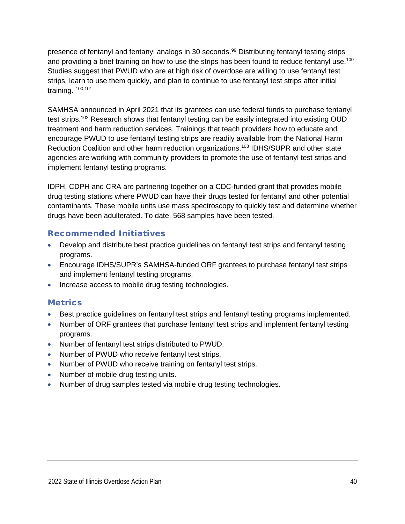presence of fentanyl and fentanyl analogs in 30 seconds.<sup>99</sup> Distributing fentanyl testing strips and providing a brief training on how to use the strips has been found to reduce fentanyl use.<sup>100</sup> Studies suggest that PWUD who are at high risk of overdose are willing to use fentanyl test strips, learn to use them quickly, and plan to continue to use fentanyl test strips after initial training. 100,101

SAMHSA announced in April 2021 that its grantees can use federal funds to purchase fentanyl test strips.<sup>102</sup> Research shows that fentanyl testing can be easily integrated into existing OUD treatment and harm reduction services. Trainings that teach providers how to educate and encourage PWUD to use fentanyl testing strips are readily available from the National Harm Reduction Coalition and other harm reduction organizations.<sup>103</sup> IDHS/SUPR and other state agencies are working with community providers to promote the use of fentanyl test strips and implement fentanyl testing programs.

IDPH, CDPH and CRA are partnering together on a CDC-funded grant that provides mobile drug testing stations where PWUD can have their drugs tested for fentanyl and other potential contaminants. These mobile units use mass spectroscopy to quickly test and determine whether drugs have been adulterated. To date, 568 samples have been tested.

#### Recommended Initiatives

- Develop and distribute best practice quidelines on fentanyl test strips and fentanyl testing programs.
- Encourage IDHS/SUPR's SAMHSA-funded ORF grantees to purchase fentanyl test strips and implement fentanyl testing programs.
- Increase access to mobile drug testing technologies.

- Best practice quidelines on fentanyl test strips and fentanyl testing programs implemented.
- Number of ORF grantees that purchase fentanyl test strips and implement fentanyl testing programs.
- Number of fentanyl test strips distributed to PWUD.
- Number of PWUD who receive fentanyl test strips.
- Number of PWUD who receive training on fentanyl test strips.
- Number of mobile drug testing units.
- Number of drug samples tested via mobile drug testing technologies.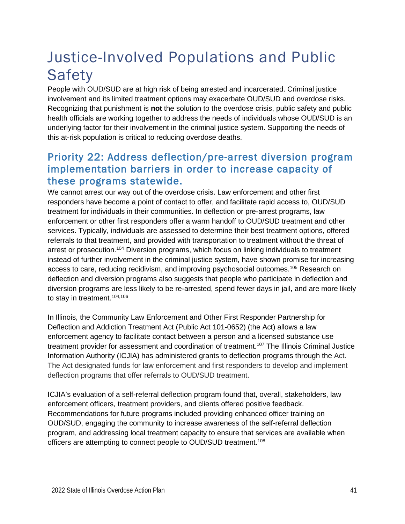## <span id="page-41-0"></span>Justice-Involved Populations and Public Safety

People with OUD/SUD are at high risk of being arrested and incarcerated. Criminal justice involvement and its limited treatment options may exacerbate OUD/SUD and overdose risks. Recognizing that punishment is **not** the solution to the overdose crisis, public safety and public health officials are working together to address the needs of individuals whose OUD/SUD is an underlying factor for their involvement in the criminal justice system. Supporting the needs of this at-risk population is critical to reducing overdose deaths.

## <span id="page-41-1"></span>Priority 22: Address deflection/pre-arrest diversion program implementation barriers in order to increase capacity of these programs statewide.

We cannot arrest our way out of the overdose crisis. Law enforcement and other first responders have become a point of contact to offer, and facilitate rapid access to, OUD/SUD treatment for individuals in their communities. In deflection or pre-arrest programs, law enforcement or other first responders offer a warm handoff to OUD/SUD treatment and other services. Typically, individuals are assessed to determine their best treatment options, offered referrals to that treatment, and provided with transportation to treatment without the threat of arrest or prosecution.104 Diversion programs, which focus on linking individuals to treatment instead of further involvement in the criminal justice system, have shown promise for increasing access to care, reducing recidivism, and improving psychosocial outcomes. <sup>105</sup> Research on deflection and diversion programs also suggests that people who participate in deflection and diversion programs are less likely to be re-arrested, spend fewer days in jail, and are more likely to stay in treatment.<sup>104,106</sup>

In Illinois, the Community Law Enforcement and Other First Responder Partnership for Deflection and Addiction Treatment Act (Public Act 101-0652) (the Act) allows a law enforcement agency to facilitate contact between a person and a licensed substance use treatment provider for assessment and coordination of treatment.<sup>107</sup> The Illinois Criminal Justice Information Authority (ICJIA) has administered grants to deflection programs through the Act. The Act designated funds for law enforcement and first responders to develop and implement deflection programs that offer referrals to OUD/SUD treatment.

ICJIA's evaluation of a self-referral deflection program found that, overall, stakeholders, law enforcement officers, treatment providers, and clients offered positive feedback. Recommendations for future programs included providing enhanced officer training on OUD/SUD, engaging the community to increase awareness of the self-referral deflection program, and addressing local treatment capacity to ensure that services are available when officers are attempting to connect people to OUD/SUD treatment.<sup>108</sup>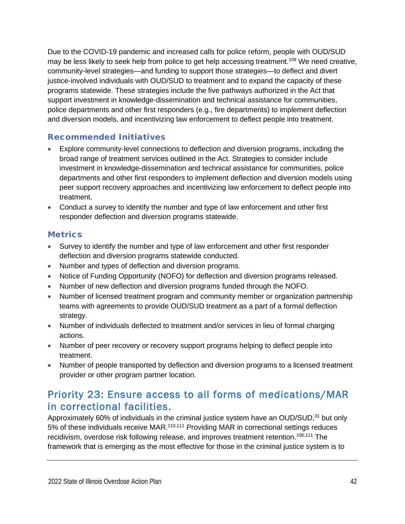Due to the COVID-19 pandemic and increased calls for police reform, people with OUD/SUD may be less likely to seek help from police to get help accessing treatment.<sup>109</sup> We need creative, community-level strategies—and funding to support those strategies—to deflect and divert justice-involved individuals with OUD/SUD to treatment and to expand the capacity of these programs statewide. These strategies include the five pathways authorized in the Act that support investment in knowledge-dissemination and technical assistance for communities, police departments and other first responders (e.g., fire departments) to implement deflection and diversion models, and incentivizing law enforcement to deflect people into treatment.

#### Recommended Initiatives

- Explore community-level connections to deflection and diversion programs, including the broad range of treatment services outlined in the Act. Strategies to consider include investment in knowledge-dissemination and technical assistance for communities, police departments and other first responders to implement deflection and diversion models using peer support recovery approaches and incentivizing law enforcement to deflect people into treatment.
- Conduct a survey to identify the number and type of law enforcement and other first responder deflection and diversion programs statewide.

#### **Metrics**

- Survey to identify the number and type of law enforcement and other first responder deflection and diversion programs statewide conducted.
- Number and types of deflection and diversion programs.
- Notice of Funding Opportunity (NOFO) for deflection and diversion programs released.
- Number of new deflection and diversion programs funded through the NOFO.
- Number of licensed treatment program and community member or organization partnership teams with agreements to provide OUD/SUD treatment as a part of a formal deflection strategy.
- Number of individuals deflected to treatment and/or services in lieu of formal charging actions.
- Number of peer recovery or recovery support programs helping to deflect people into treatment.
- Number of people transported by deflection and diversion programs to a licensed treatment provider or other program partner location.

## <span id="page-42-0"></span>Priority 23: Ensure access to all forms of medications/MAR in correctional facilities.

Approximately 60% of individuals in the criminal justice system have an OUD/SUD,<sup>31</sup> but only 5% of these individuals receive MAR.<sup>110,111</sup> Providing MAR in correctional settings reduces recidivism, overdose risk following release, and improves treatment retention.<sup>106,111</sup> The framework that is emerging as the most effective for those in the criminal justice system is to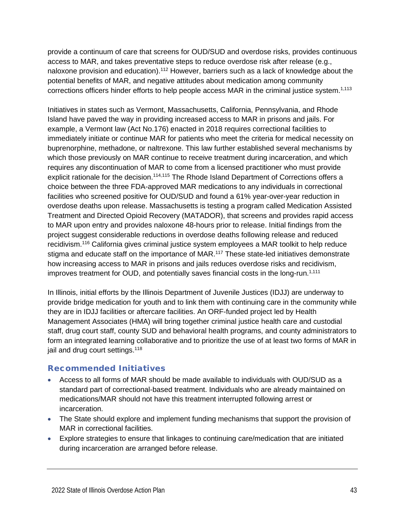provide a continuum of care that screens for OUD/SUD and overdose risks, provides continuous access to MAR, and takes preventative steps to reduce overdose risk after release (e.g., naloxone provision and education).<sup>112</sup> However, barriers such as a lack of knowledge about the potential benefits of MAR, and negative attitudes about medication among community corrections officers hinder efforts to help people access MAR in the criminal justice system.<sup>1,113</sup>

Initiatives in states such as Vermont, Massachusetts, California, Pennsylvania, and Rhode Island have paved the way in providing increased access to MAR in prisons and jails. For example, a Vermont law (Act No.176) enacted in 2018 requires correctional facilities to immediately initiate or continue MAR for patients who meet the criteria for medical necessity on buprenorphine, methadone, or naltrexone. This law further established several mechanisms by which those previously on MAR continue to receive treatment during incarceration, and which requires any discontinuation of MAR to come from a licensed practitioner who must provide explicit rationale for the decision.<sup>114,115</sup> The Rhode Island Department of Corrections offers a choice between the three FDA-approved MAR medications to any individuals in correctional facilities who screened positive for OUD/SUD and found a 61% year-over-year reduction in overdose deaths upon release. Massachusetts is testing a program called Medication Assisted Treatment and Directed Opioid Recovery (MATADOR), that screens and provides rapid access to MAR upon entry and provides naloxone 48-hours prior to release. Initial findings from the project suggest considerable reductions in overdose deaths following release and reduced recidivism.<sup>116</sup> California gives criminal justice system employees a MAR toolkit to help reduce stigma and educate staff on the importance of MAR.117 These state-led initiatives demonstrate how increasing access to MAR in prisons and jails reduces overdose risks and recidivism, improves treatment for OUD, and potentially saves financial costs in the long-run.<sup>1,111</sup>

In Illinois, initial efforts by the Illinois Department of Juvenile Justices (IDJJ) are underway to provide bridge medication for youth and to link them with continuing care in the community while they are in IDJJ facilities or aftercare facilities. An ORF-funded project led by Health Management Associates (HMA) will bring together criminal justice health care and custodial staff, drug court staff, county SUD and behavioral health programs, and county administrators to form an integrated learning collaborative and to prioritize the use of at least two forms of MAR in jail and drug court settings.<sup>118</sup>

#### Recommended Initiatives

- Access to all forms of MAR should be made available to individuals with OUD/SUD as a standard part of correctional-based treatment. Individuals who are already maintained on medications/MAR should not have this treatment interrupted following arrest or incarceration.
- The State should explore and implement funding mechanisms that support the provision of MAR in correctional facilities.
- Explore strategies to ensure that linkages to continuing care/medication that are initiated during incarceration are arranged before release.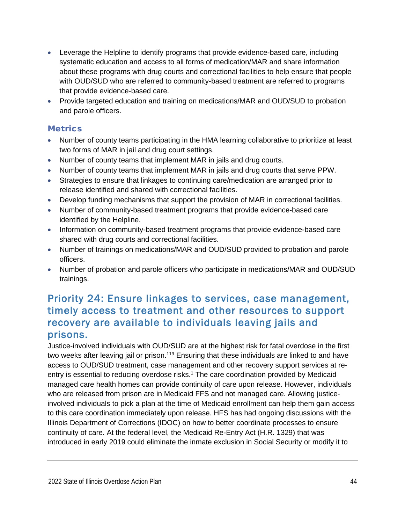- Leverage the Helpline to identify programs that provide evidence-based care, including systematic education and access to all forms of medication/MAR and share information about these programs with drug courts and correctional facilities to help ensure that people with OUD/SUD who are referred to community-based treatment are referred to programs that provide evidence-based care.
- Provide targeted education and training on medications/MAR and OUD/SUD to probation and parole officers.

#### **Metrics**

- Number of county teams participating in the HMA learning collaborative to prioritize at least two forms of MAR in jail and drug court settings.
- Number of county teams that implement MAR in jails and drug courts.
- Number of county teams that implement MAR in jails and drug courts that serve PPW.
- Strategies to ensure that linkages to continuing care/medication are arranged prior to release identified and shared with correctional facilities.
- Develop funding mechanisms that support the provision of MAR in correctional facilities.
- Number of community-based treatment programs that provide evidence-based care identified by the Helpline.
- Information on community-based treatment programs that provide evidence-based care shared with drug courts and correctional facilities.
- Number of trainings on medications/MAR and OUD/SUD provided to probation and parole officers.
- Number of probation and parole officers who participate in medications/MAR and OUD/SUD trainings.

## <span id="page-44-0"></span>Priority 24: Ensure linkages to services, case management, timely access to treatment and other resources to support recovery are available to individuals leaving jails and prisons.

Justice-involved individuals with OUD/SUD are at the highest risk for fatal overdose in the first two weeks after leaving jail or prison.<sup>119</sup> Ensuring that these individuals are linked to and have access to OUD/SUD treatment, case management and other recovery support services at reentry is essential to reducing overdose risks.<sup>1</sup> The care coordination provided by Medicaid managed care health homes can provide continuity of care upon release. However, individuals who are released from prison are in Medicaid FFS and not managed care. Allowing justiceinvolved individuals to pick a plan at the time of Medicaid enrollment can help them gain access to this care coordination immediately upon release. HFS has had ongoing discussions with the Illinois Department of Corrections (IDOC) on how to better coordinate processes to ensure continuity of care. At the federal level, the Medicaid Re-Entry Act (H.R. 1329) that was introduced in early 2019 could eliminate the inmate exclusion in Social Security or modify it to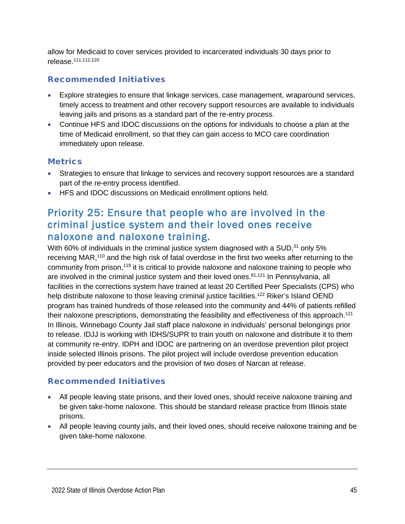allow for Medicaid to cover services provided to incarcerated individuals 30 days prior to release. 111,112,120

#### Recommended Initiatives

- Explore strategies to ensure that linkage services, case management, wraparound services, timely access to treatment and other recovery support resources are available to individuals leaving jails and prisons as a standard part of the re-entry process.
- Continue HFS and IDOC discussions on the options for individuals to choose a plan at the time of Medicaid enrollment, so that they can gain access to MCO care coordination immediately upon release.

#### **Metrics**

- Strategies to ensure that linkage to services and recovery support resources are a standard part of the re-entry process identified.
- HFS and IDOC discussions on Medicaid enrollment options held.

## <span id="page-45-0"></span>Priority 25: Ensure that people who are involved in the criminal justice system and their loved ones receive naloxone and naloxone training.

With 60% of individuals in the criminal justice system diagnosed with a SUD, $31$  only 5% receiving MAR,<sup>110</sup> and the high risk of fatal overdose in the first two weeks after returning to the community from prison,<sup>119</sup> it is critical to provide naloxone and naloxone training to people who are involved in the criminal justice system and their loved ones.<sup>81,121</sup> In Pennsylvania, all facilities in the corrections system have trained at least 20 Certified Peer Specialists (CPS) who help distribute naloxone to those leaving criminal justice facilities.<sup>122</sup> Riker's Island OEND program has trained hundreds of those released into the community and 44% of patients refilled their naloxone prescriptions, demonstrating the feasibility and effectiveness of this approach.<sup>121</sup> In Illinois, Winnebago County Jail staff place naloxone in individuals' personal belongings prior to release. IDJJ is working with IDHS/SUPR to train youth on naloxone and distribute it to them at community re-entry. IDPH and IDOC are partnering on an overdose prevention pilot project inside selected Illinois prisons. The pilot project will include overdose prevention education provided by peer educators and the provision of two doses of Narcan at release.

#### Recommended Initiatives

- All people leaving state prisons, and their loved ones, should receive naloxone training and be given take-home naloxone. This should be standard release practice from Illinois state prisons.
- All people leaving county jails, and their loved ones, should receive naloxone training and be given take-home naloxone.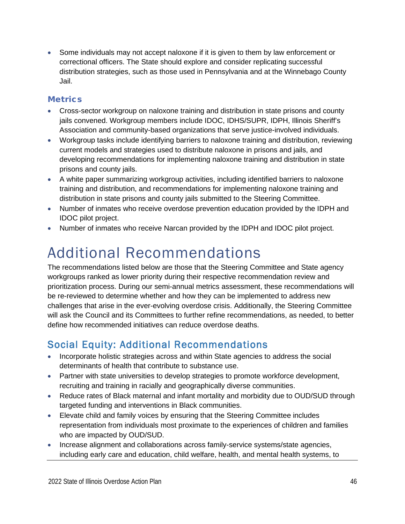• Some individuals may not accept naloxone if it is given to them by law enforcement or correctional officers. The State should explore and consider replicating successful distribution strategies, such as those used in Pennsylvania and at the Winnebago County Jail.

#### **Metrics**

- Cross-sector workgroup on naloxone training and distribution in state prisons and county jails convened. Workgroup members include IDOC, IDHS/SUPR, IDPH, Illinois Sheriff's Association and community-based organizations that serve justice-involved individuals.
- Workgroup tasks include identifying barriers to naloxone training and distribution, reviewing current models and strategies used to distribute naloxone in prisons and jails, and developing recommendations for implementing naloxone training and distribution in state prisons and county jails.
- A white paper summarizing workgroup activities, including identified barriers to naloxone training and distribution, and recommendations for implementing naloxone training and distribution in state prisons and county jails submitted to the Steering Committee.
- Number of inmates who receive overdose prevention education provided by the IDPH and IDOC pilot project.
- <span id="page-46-0"></span>• Number of inmates who receive Narcan provided by the IDPH and IDOC pilot project.

## Additional Recommendations

The recommendations listed below are those that the Steering Committee and State agency workgroups ranked as lower priority during their respective recommendation review and prioritization process. During our semi-annual metrics assessment, these recommendations will be re-reviewed to determine whether and how they can be implemented to address new challenges that arise in the ever-evolving overdose crisis. Additionally, the Steering Committee will ask the Council and its Committees to further refine recommendations, as needed, to better define how recommended initiatives can reduce overdose deaths.

## <span id="page-46-1"></span>Social Equity: Additional Recommendations

- Incorporate holistic strategies across and within State agencies to address the social determinants of health that contribute to substance use.
- Partner with state universities to develop strategies to promote workforce development, recruiting and training in racially and geographically diverse communities.
- Reduce rates of Black maternal and infant mortality and morbidity due to OUD/SUD through targeted funding and interventions in Black communities.
- Elevate child and family voices by ensuring that the Steering Committee includes representation from individuals most proximate to the experiences of children and families who are impacted by OUD/SUD.
- Increase alignment and collaborations across family-service systems/state agencies, including early care and education, child welfare, health, and mental health systems, to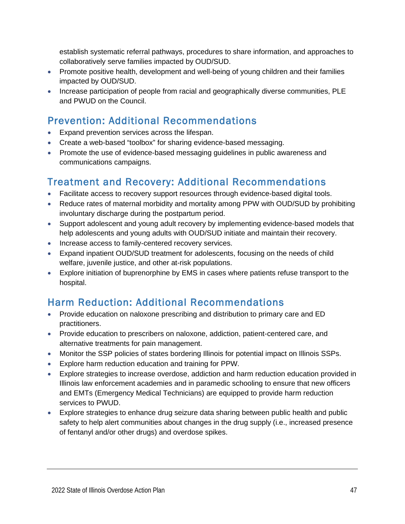establish systematic referral pathways, procedures to share information, and approaches to collaboratively serve families impacted by OUD/SUD.

- Promote positive health, development and well-being of young children and their families impacted by OUD/SUD.
- Increase participation of people from racial and geographically diverse communities, PLE and PWUD on the Council.

## <span id="page-47-0"></span>Prevention: Additional Recommendations

- Expand prevention services across the lifespan.
- Create a web-based "toolbox" for sharing evidence-based messaging.
- Promote the use of evidence-based messaging guidelines in public awareness and communications campaigns.

## <span id="page-47-1"></span>Treatment and Recovery: Additional Recommendations

- Facilitate access to recovery support resources through evidence-based digital tools.
- Reduce rates of maternal morbidity and mortality among PPW with OUD/SUD by prohibiting involuntary discharge during the postpartum period.
- Support adolescent and young adult recovery by implementing evidence-based models that help adolescents and young adults with OUD/SUD initiate and maintain their recovery.
- Increase access to family-centered recovery services.
- Expand inpatient OUD/SUD treatment for adolescents, focusing on the needs of child welfare, juvenile justice, and other at-risk populations.
- Explore initiation of buprenorphine by EMS in cases where patients refuse transport to the hospital.

## <span id="page-47-2"></span>Harm Reduction: Additional Recommendations

- Provide education on naloxone prescribing and distribution to primary care and ED practitioners.
- Provide education to prescribers on naloxone, addiction, patient-centered care, and alternative treatments for pain management.
- Monitor the SSP policies of states bordering Illinois for potential impact on Illinois SSPs.
- Explore harm reduction education and training for PPW.
- Explore strategies to increase overdose, addiction and harm reduction education provided in Illinois law enforcement academies and in paramedic schooling to ensure that new officers and EMTs (Emergency Medical Technicians) are equipped to provide harm reduction services to PWUD.
- Explore strategies to enhance drug seizure data sharing between public health and public safety to help alert communities about changes in the drug supply (i.e., increased presence of fentanyl and/or other drugs) and overdose spikes.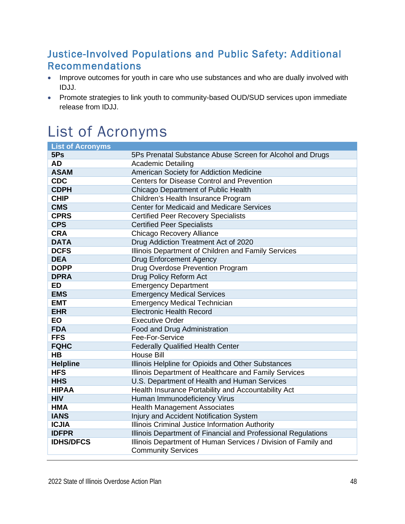## <span id="page-48-0"></span>Justice-Involved Populations and Public Safety: Additional Recommendations

- Improve outcomes for youth in care who use substances and who are dually involved with IDJJ.
- Promote strategies to link youth to community-based OUD/SUD services upon immediate release from IDJJ.

## <span id="page-48-1"></span>List of Acronyms

| <b>List of Acronyms</b> |                                                                |
|-------------------------|----------------------------------------------------------------|
| 5Ps                     | 5Ps Prenatal Substance Abuse Screen for Alcohol and Drugs      |
| <b>AD</b>               | <b>Academic Detailing</b>                                      |
| <b>ASAM</b>             | American Society for Addiction Medicine                        |
| <b>CDC</b>              | <b>Centers for Disease Control and Prevention</b>              |
| <b>CDPH</b>             | Chicago Department of Public Health                            |
| <b>CHIP</b>             | Children's Health Insurance Program                            |
| <b>CMS</b>              | <b>Center for Medicaid and Medicare Services</b>               |
| <b>CPRS</b>             | <b>Certified Peer Recovery Specialists</b>                     |
| <b>CPS</b>              | <b>Certified Peer Specialists</b>                              |
| <b>CRA</b>              | Chicago Recovery Alliance                                      |
| <b>DATA</b>             | Drug Addiction Treatment Act of 2020                           |
| <b>DCFS</b>             | Illinois Department of Children and Family Services            |
| <b>DEA</b>              | <b>Drug Enforcement Agency</b>                                 |
| <b>DOPP</b>             | Drug Overdose Prevention Program                               |
| <b>DPRA</b>             | Drug Policy Reform Act                                         |
| <b>ED</b>               | <b>Emergency Department</b>                                    |
| <b>EMS</b>              | <b>Emergency Medical Services</b>                              |
| <b>EMT</b>              | <b>Emergency Medical Technician</b>                            |
| <b>EHR</b>              | <b>Electronic Health Record</b>                                |
| EO                      | <b>Executive Order</b>                                         |
| <b>FDA</b>              | Food and Drug Administration                                   |
| <b>FFS</b>              | Fee-For-Service                                                |
| <b>FQHC</b>             | <b>Federally Qualified Health Center</b>                       |
| HB                      | <b>House Bill</b>                                              |
| <b>Helpline</b>         | Illinois Helpline for Opioids and Other Substances             |
| <b>HFS</b>              | Illinois Department of Healthcare and Family Services          |
| <b>HHS</b>              | U.S. Department of Health and Human Services                   |
| <b>HIPAA</b>            | Health Insurance Portability and Accountability Act            |
| <b>HIV</b>              | Human Immunodeficiency Virus                                   |
| <b>HMA</b>              | <b>Health Management Associates</b>                            |
| <b>IANS</b>             | Injury and Accident Notification System                        |
| <b>ICJIA</b>            | Illinois Criminal Justice Information Authority                |
| <b>IDFPR</b>            | Illinois Department of Financial and Professional Regulations  |
| <b>IDHS/DFCS</b>        | Illinois Department of Human Services / Division of Family and |
|                         | <b>Community Services</b>                                      |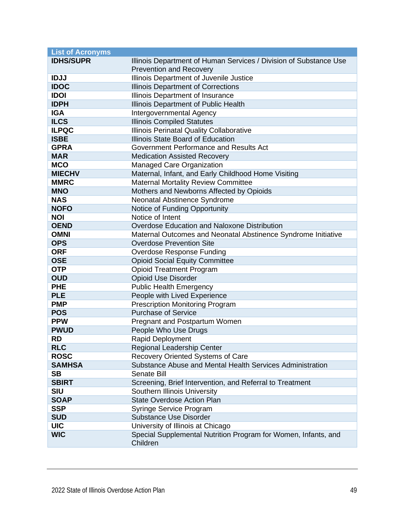| <b>List of Acronyms</b> |                                                                   |
|-------------------------|-------------------------------------------------------------------|
| <b>IDHS/SUPR</b>        | Illinois Department of Human Services / Division of Substance Use |
|                         | <b>Prevention and Recovery</b>                                    |
| <b>IDJJ</b>             | Illinois Department of Juvenile Justice                           |
| <b>IDOC</b>             | Illinois Department of Corrections                                |
| <b>IDOI</b>             | Illinois Department of Insurance                                  |
| <b>IDPH</b>             | Illinois Department of Public Health                              |
| <b>IGA</b>              | Intergovernmental Agency                                          |
| <b>ILCS</b>             | <b>Illinois Compiled Statutes</b>                                 |
| <b>ILPQC</b>            | Illinois Perinatal Quality Collaborative                          |
| <b>ISBE</b>             | Illinois State Board of Education                                 |
| <b>GPRA</b>             | Government Performance and Results Act                            |
| <b>MAR</b>              | <b>Medication Assisted Recovery</b>                               |
| <b>MCO</b>              | Managed Care Organization                                         |
| <b>MIECHV</b>           | Maternal, Infant, and Early Childhood Home Visiting               |
| <b>MMRC</b>             | <b>Maternal Mortality Review Committee</b>                        |
| <b>MNO</b>              | Mothers and Newborns Affected by Opioids                          |
| <b>NAS</b>              | Neonatal Abstinence Syndrome                                      |
| <b>NOFO</b>             | Notice of Funding Opportunity                                     |
| <b>NOI</b>              | Notice of Intent                                                  |
| <b>OEND</b>             | Overdose Education and Naloxone Distribution                      |
| <b>OMNI</b>             | Maternal Outcomes and Neonatal Abstinence Syndrome Initiative     |
| <b>OPS</b>              | <b>Overdose Prevention Site</b>                                   |
| <b>ORF</b>              | <b>Overdose Response Funding</b>                                  |
| <b>OSE</b>              | <b>Opioid Social Equity Committee</b>                             |
| <b>OTP</b>              | <b>Opioid Treatment Program</b>                                   |
| <b>OUD</b>              | <b>Opioid Use Disorder</b>                                        |
| <b>PHE</b>              | <b>Public Health Emergency</b>                                    |
| <b>PLE</b>              | People with Lived Experience                                      |
| <b>PMP</b>              | <b>Prescription Monitoring Program</b>                            |
| <b>POS</b>              | <b>Purchase of Service</b>                                        |
| <b>PPW</b>              | Pregnant and Postpartum Women                                     |
| <b>PWUD</b>             | People Who Use Drugs                                              |
| <b>RD</b>               | Rapid Deployment                                                  |
| <b>RLC</b>              | <b>Regional Leadership Center</b>                                 |
| <b>ROSC</b>             | Recovery Oriented Systems of Care                                 |
| <b>SAMHSA</b>           | Substance Abuse and Mental Health Services Administration         |
| <b>SB</b>               | <b>Senate Bill</b>                                                |
| <b>SBIRT</b>            | Screening, Brief Intervention, and Referral to Treatment          |
| <b>SIU</b>              | Southern Illinois University                                      |
| <b>SOAP</b>             | <b>State Overdose Action Plan</b>                                 |
| <b>SSP</b>              | Syringe Service Program                                           |
| <b>SUD</b>              | <b>Substance Use Disorder</b>                                     |
| <b>UIC</b>              | University of Illinois at Chicago                                 |
| <b>WIC</b>              | Special Supplemental Nutrition Program for Women, Infants, and    |
|                         | Children                                                          |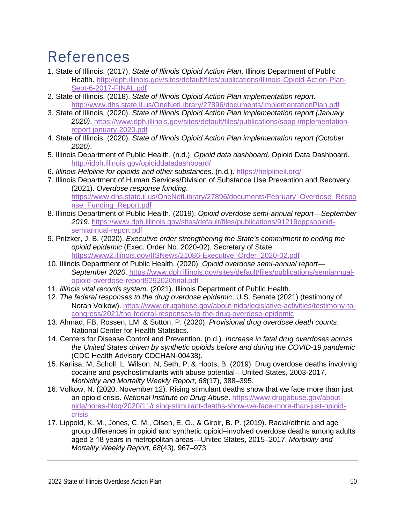## <span id="page-50-0"></span>References

- 1. State of Illinois. (2017). *State of Illinois Opioid Action Plan*. Illinois Department of Public Health. [http://dph.illinois.gov/sites/default/files/publications/Illinois-Opioid-Action-Plan-](http://dph.illinois.gov/sites/default/files/publications/Illinois-Opioid-Action-Plan-Sept-6-2017-FINAL.pdf)[Sept-6-2017-FINAL.pdf](http://dph.illinois.gov/sites/default/files/publications/Illinois-Opioid-Action-Plan-Sept-6-2017-FINAL.pdf)
- 2. State of Illinois. (2018). *State of Illinois Opioid Action Plan implementation report*. <http://www.dhs.state.il.us/OneNetLibrary/27896/documents/ImplementationPlan.pdf>
- 3. State of Illinois. (2020). *State of Illinois Opioid Action Plan implementation report (January 2020)*. [https://www.dph.illinois.gov/sites/default/files/publications/soap-implementation](https://www.dph.illinois.gov/sites/default/files/publications/soap-implementation-report-january-2020.pdf)[report-january-2020.pdf](https://www.dph.illinois.gov/sites/default/files/publications/soap-implementation-report-january-2020.pdf)
- 4. State of Illinois. (2020). *State of Illinois Opioid Action Plan implementation report (October 2020)*.
- 5. Illinois Department of Public Health. (n.d.). *Opioid data dashboard*. Opioid Data Dashboard. <http://idph.illinois.gov/opioiddatadashboard/>
- 6. *Illinois Helpline for opioids and other substances*. (n.d.).<https://helplineil.org/>
- 7. Illinois Department of Human Services/Division of Substance Use Prevention and Recovery. (2021). *Overdose response funding*. [https://www.dhs.state.il.us/OneNetLibrary/27896/documents/February\\_Overdose\\_Respo](https://www.dhs.state.il.us/OneNetLibrary/27896/documents/February_Overdose_Response_Funding_Report.pdf) [nse\\_Funding\\_Report.pdf](https://www.dhs.state.il.us/OneNetLibrary/27896/documents/February_Overdose_Response_Funding_Report.pdf)
- 8. Illinois Department of Public Health. (2019). *Opioid overdose semi-annual report—September 2019*. [https://www.dph.illinois.gov/sites/default/files/publications/91219oppsopioid](https://www.dph.illinois.gov/sites/default/files/publications/91219oppsopioid-semiannual-report.pdf)[semiannual-report.pdf](https://www.dph.illinois.gov/sites/default/files/publications/91219oppsopioid-semiannual-report.pdf)
- 9. Pritzker, J. B. (2020). *Executive order strengthening the State's commitment to ending the opioid epidemic* (Exec. Order No. 2020-02). Secretary of State. [https://www2.illinois.gov/IISNews/21086-Executive\\_Order\\_2020-02.pdf](https://www2.illinois.gov/IISNews/21086-Executive_Order_2020-02.pdf)
- 10. Illinois Department of Public Health. (2020). *Opioid overdose semi-annual report— September 2020*. [https://www.dph.illinois.gov/sites/default/files/publications/semiannual](https://www.dph.illinois.gov/sites/default/files/publications/semiannual-opioid-overdose-report9292020final.pdf)[opioid-overdose-report9292020final.pdf](https://www.dph.illinois.gov/sites/default/files/publications/semiannual-opioid-overdose-report9292020final.pdf)
- 11. *Illinois vital records system*. (2021). Illinois Department of Public Health.
- 12. *The federal responses to the drug overdose epidemic*, U.S. Senate (2021) (testimony of Norah Volkow). [https://www.drugabuse.gov/about-nida/legislative-activities/testimony-to](https://www.drugabuse.gov/about-nida/legislative-activities/testimony-to-congress/2021/the-federal-responses-to-the-drug-overdose-epidemic)[congress/2021/the-federal-responses-to-the-drug-overdose-epidemic](https://www.drugabuse.gov/about-nida/legislative-activities/testimony-to-congress/2021/the-federal-responses-to-the-drug-overdose-epidemic)
- 13. Ahmad, FB, Rossen, LM, & Sutton, P. (2020). *Provisional drug overdose death counts*. National Center for Health Statistics.
- 14. Centers for Disease Control and Prevention. (n.d.). *Increase in fatal drug overdoses across the United States driven by synthetic opioids before and during the COVID-19 pandemic* (CDC Health Advisory CDCHAN-00438).
- 15. Kariisa, M, Scholl, L, Wilson, N, Seth, P, & Hoots, B. (2019). Drug overdose deaths involving cocaine and psychostimulants with abuse potential—United States, 2003-2017. *Morbidity and Mortality Weekly Report*, *68*(17), 388–395.
- 16. Volkow, N. (2020, November 12). Rising stimulant deaths show that we face more than just an opioid crisis. *National Institute on Drug Abuse*. [https://www.drugabuse.gov/about](https://www.drugabuse.gov/about-nida/noras-blog/2020/11/rising-stimulant-deaths-show-we-face-more-than-just-opioid-crisis)[nida/noras-blog/2020/11/rising-stimulant-deaths-show-we-face-more-than-just-opioid](https://www.drugabuse.gov/about-nida/noras-blog/2020/11/rising-stimulant-deaths-show-we-face-more-than-just-opioid-crisis)[crisis](https://www.drugabuse.gov/about-nida/noras-blog/2020/11/rising-stimulant-deaths-show-we-face-more-than-just-opioid-crisis)
- 17. Lippold, K. M., Jones, C. M., Olsen, E. O., & Giroir, B. P. (2019). Racial/ethnic and age group differences in opioid and synthetic opioid–involved overdose deaths among adults aged ≥ 18 years in metropolitan areas—United States, 2015–2017. *Morbidity and Mortality Weekly Report*, *68*(43), 967–973.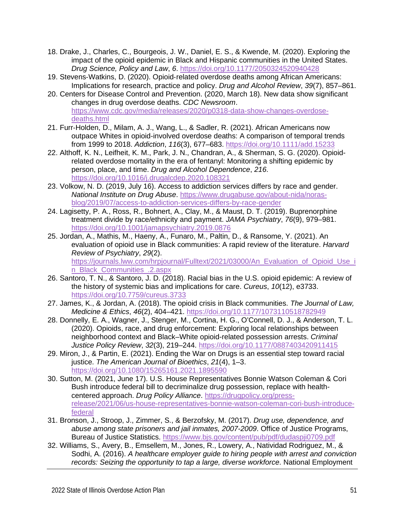- 18. Drake, J., Charles, C., Bourgeois, J. W., Daniel, E. S., & Kwende, M. (2020). Exploring the impact of the opioid epidemic in Black and Hispanic communities in the United States. *Drug Science, Policy and Law*, *6*.<https://doi.org/10.1177/2050324520940428>
- 19. Stevens‐Watkins, D. (2020). Opioid‐related overdose deaths among African Americans: Implications for research, practice and policy. *Drug and Alcohol Review*, *39*(7), 857–861.
- 20. Centers for Disease Control and Prevention. (2020, March 18). New data show significant changes in drug overdose deaths. *CDC Newsroom*. [https://www.cdc.gov/media/releases/2020/p0318-data-show-changes-overdose](https://www.cdc.gov/media/releases/2020/p0318-data-show-changes-overdose-deaths.html)[deaths.html](https://www.cdc.gov/media/releases/2020/p0318-data-show-changes-overdose-deaths.html)
- 21. Furr‐Holden, D., Milam, A. J., Wang, L., & Sadler, R. (2021). African Americans now outpace Whites in opioid-involved overdose deaths: A comparison of temporal trends from 1999 to 2018. *Addiction*, *116*(3), 677–683.<https://doi.org/10.1111/add.15233>
- 22. Althoff, K. N., Leifheit, K. M., Park, J. N., Chandran, A., & Sherman, S. G. (2020). Opioidrelated overdose mortality in the era of fentanyl: Monitoring a shifting epidemic by person, place, and time. *Drug and Alcohol Dependence*, *216*. <https://doi.org/10.1016/j.drugalcdep.2020.108321>
- 23. Volkow, N. D. (2019, July 16). Access to addiction services differs by race and gender. *National Institute on Drug Abuse*. [https://www.drugabuse.gov/about-nida/noras](https://www.drugabuse.gov/about-nida/noras-blog/2019/07/access-to-addiction-services-differs-by-race-gender)[blog/2019/07/access-to-addiction-services-differs-by-race-gender](https://www.drugabuse.gov/about-nida/noras-blog/2019/07/access-to-addiction-services-differs-by-race-gender)
- 24. Lagisetty, P. A., Ross, R., Bohnert, A., Clay, M., & Maust, D. T. (2019). Buprenorphine treatment divide by race/ethnicity and payment. *JAMA Psychiatry*, *76*(9), 979–981. <https://doi.org/10.1001/jamapsychiatry.2019.0876>
- 25. Jordan, A., Mathis, M., Haeny, A., Funaro, M., Paltin, D., & Ransome, Y. (2021). An evaluation of opioid use in Black communities: A rapid review of the literature. *Harvard Review of Psychiatry*, *29*(2).

[https://journals.lww.com/hrpjournal/Fulltext/2021/03000/An\\_Evaluation\\_of\\_Opioid\\_Use\\_i](https://journals.lww.com/hrpjournal/Fulltext/2021/03000/An_Evaluation_of_Opioid_Use_in_Black_Communities_.2.aspx) [n\\_Black\\_Communities\\_.2.aspx](https://journals.lww.com/hrpjournal/Fulltext/2021/03000/An_Evaluation_of_Opioid_Use_in_Black_Communities_.2.aspx)

- 26. Santoro, T. N., & Santoro, J. D. (2018). Racial bias in the U.S. opioid epidemic: A review of the history of systemic bias and implications for care. *Cureus*, *10*(12), e3733. <https://doi.org/10.7759/cureus.3733>
- 27. James, K., & Jordan, A. (2018). The opioid crisis in Black communities. *The Journal of Law, Medicine & Ethics*, *46*(2), 404–421.<https://doi.org/10.1177/1073110518782949>
- 28. Donnelly, E. A., Wagner, J., Stenger, M., Cortina, H. G., O'Connell, D. J., & Anderson, T. L. (2020). Opioids, race, and drug enforcement: Exploring local relationships between neighborhood context and Black–White opioid-related possession arrests. *Criminal Justice Policy Review*, *32*(3), 219–244.<https://doi.org/10.1177/0887403420911415>
- 29. Miron, J., & Partin, E. (2021). Ending the War on Drugs is an essential step toward racial justice. *The American Journal of Bioethics*, *21*(4), 1–3. <https://doi.org/10.1080/15265161.2021.1895590>
- 30. Sutton, M. (2021, June 17). U.S. House Representatives Bonnie Watson Coleman & Cori Bush introduce federal bill to decriminalize drug possession, replace with healthcentered approach. *Drug Policy Alliance*. [https://drugpolicy.org/press](https://drugpolicy.org/press-release/2021/06/us-house-representatives-bonnie-watson-coleman-cori-bush-introduce-federal)[release/2021/06/us-house-representatives-bonnie-watson-coleman-cori-bush-introduce](https://drugpolicy.org/press-release/2021/06/us-house-representatives-bonnie-watson-coleman-cori-bush-introduce-federal)[federal](https://drugpolicy.org/press-release/2021/06/us-house-representatives-bonnie-watson-coleman-cori-bush-introduce-federal)
- 31. Bronson, J., Stroop, J., Zimmer, S., & Berzofsky, M. (2017). *Drug use, dependence, and abuse among state prisoners and jail inmates, 2007-2009*. Office of Justice Programs, Bureau of Justice Statistics.<https://www.bjs.gov/content/pub/pdf/dudaspji0709.pdf>
- 32. Williams, S., Avery, B., Emsellem, M., Jones, R., Lowery, A., Natividad Rodriguez, M., & Sodhi, A. (2016). *A healthcare employer guide to hiring people with arrest and conviction records: Seizing the opportunity to tap a large, diverse workforce*. National Employment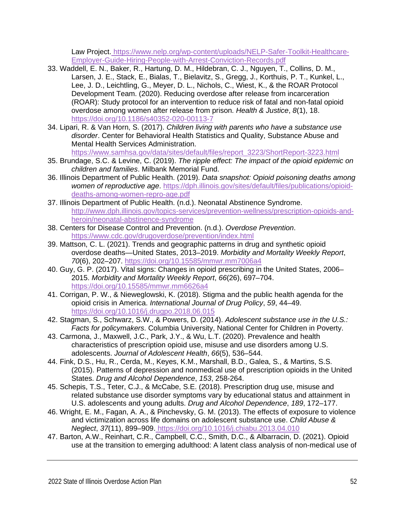Law Project. [https://www.nelp.org/wp-content/uploads/NELP-Safer-Toolkit-Healthcare-](https://www.nelp.org/wp-content/uploads/NELP-Safer-Toolkit-Healthcare-Employer-Guide-Hiring-People-with-Arrest-Conviction-Records.pdf)[Employer-Guide-Hiring-People-with-Arrest-Conviction-Records.pdf](https://www.nelp.org/wp-content/uploads/NELP-Safer-Toolkit-Healthcare-Employer-Guide-Hiring-People-with-Arrest-Conviction-Records.pdf)

- 33. Waddell, E. N., Baker, R., Hartung, D. M., Hildebran, C. J., Nguyen, T., Collins, D. M., Larsen, J. E., Stack, E., Bialas, T., Bielavitz, S., Gregg, J., Korthuis, P. T., Kunkel, L., Lee, J. D., Leichtling, G., Meyer, D. L., Nichols, C., Wiest, K., & the ROAR Protocol Development Team. (2020). Reducing overdose after release from incarceration (ROAR): Study protocol for an intervention to reduce risk of fatal and non-fatal opioid overdose among women after release from prison. *Health & Justice*, *8*(1), 18. <https://doi.org/10.1186/s40352-020-00113-7>
- 34. Lipari, R. & Van Horn, S. (2017). *Children living with parents who have a substance use disorder*. Center for Behavioral Health Statistics and Quality, Substance Abuse and Mental Health Services Administration.

[https://www.samhsa.gov/data/sites/default/files/report\\_3223/ShortReport-3223.html](https://www.samhsa.gov/data/sites/default/files/report_3223/ShortReport-3223.html)

- 35. Brundage, S.C. & Levine, C. (2019). *The ripple effect: The impact of the opioid epidemic on children and families*. Milbank Memorial Fund.
- 36. Illinois Department of Public Health. (2019). *Data snapshot: Opioid poisoning deaths among women of reproductive age*. [https://dph.illinois.gov/sites/default/files/publications/opioid](https://dph.illinois.gov/sites/default/files/publications/opioid-deaths-among-women-repro-age.pdf)[deaths-among-women-repro-age.pdf](https://dph.illinois.gov/sites/default/files/publications/opioid-deaths-among-women-repro-age.pdf)
- 37. Illinois Department of Public Health. (n.d.). Neonatal Abstinence Syndrome. [http://www.dph.illinois.gov/topics-services/prevention-wellness/prescription-opioids-and](http://www.dph.illinois.gov/topics-services/prevention-wellness/prescription-opioids-and-heroin/neonatal-abstinence-syndrome)[heroin/neonatal-abstinence-syndrome](http://www.dph.illinois.gov/topics-services/prevention-wellness/prescription-opioids-and-heroin/neonatal-abstinence-syndrome)
- 38. Centers for Disease Control and Prevention. (n.d.). *Overdose Prevention*. <https://www.cdc.gov/drugoverdose/prevention/index.html>
- 39. Mattson, C. L. (2021). Trends and geographic patterns in drug and synthetic opioid overdose deaths—United States, 2013–2019. *Morbidity and Mortality Weekly Report*, *70*(6), 202–207.<https://doi.org/10.15585/mmwr.mm7006a4>
- 40. Guy, G. P. (2017). Vital signs: Changes in opioid prescribing in the United States, 2006– 2015. *Morbidity and Mortality Weekly Report*, *66*(26), 697–704. <https://doi.org/10.15585/mmwr.mm6626a4>
- 41. Corrigan, P. W., & Nieweglowski, K. (2018). Stigma and the public health agenda for the opioid crisis in America. *International Journal of Drug Policy*, *59*, 44–49. <https://doi.org/10.1016/j.drugpo.2018.06.015>
- 42. Stagman, S., Schwarz, S.W., & Powers, D. (2014). *Adolescent substance use in the U.S.: Facts for policymakers*. Columbia University, National Center for Children in Poverty.
- 43. Carmona, J., Maxwell, J.C., Park, J.Y., & Wu, L.T. (2020). Prevalence and health characteristics of prescription opioid use, misuse and use disorders among U.S. adolescents. *Journal of Adolescent Health*, *66*(5), 536–544.
- 44. Fink, D.S., Hu, R., Cerda, M., Keyes, K.M., Marshall, B.D., Galea, S., & Martins, S.S. (2015). Patterns of depression and nonmedical use of prescription opioids in the United States. *Drug and Alcohol Dependence*, *153*, 258-264.
- 45. Schepis, T.S., Teter, C.J., & McCabe, S.E. (2018). Prescription drug use, misuse and related substance use disorder symptoms vary by educational status and attainment in U.S. adolescents and young adults. *Drug and Alcohol Dependence*, *189*, 172–177.
- 46. Wright, E. M., Fagan, A. A., & Pinchevsky, G. M. (2013). The effects of exposure to violence and victimization across life domains on adolescent substance use. *Child Abuse & Neglect*, *37*(11), 899–909. <https://doi.org/10.1016/j.chiabu.2013.04.010>
- 47. Barton, A.W., Reinhart, C.R., Campbell, C.C., Smith, D.C., & Albarracin, D. (2021). Opioid use at the transition to emerging adulthood: A latent class analysis of non-medical use of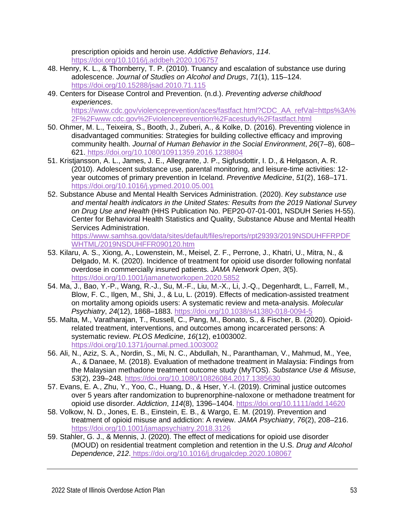prescription opioids and heroin use. *Addictive Behaviors*, *114*. <https://doi.org/10.1016/j.addbeh.2020.106757>

- 48. Henry, K. L., & Thornberry, T. P. (2010). Truancy and escalation of substance use during adolescence. *Journal of Studies on Alcohol and Drugs*, *71*(1), 115–124. <https://doi.org/10.15288/jsad.2010.71.115>
- 49. Centers for Disease Control and Prevention. (n.d.). *Preventing adverse childhood experiences*.

[https://www.cdc.gov/violenceprevention/aces/fastfact.html?CDC\\_AA\\_refVal=https%3A%](https://www.cdc.gov/violenceprevention/aces/fastfact.html?CDC_AA_refVal=https%3A%2F%2Fwww.cdc.gov%2Fviolenceprevention%2Facestudy%2Ffastfact.html) [2F%2Fwww.cdc.gov%2Fviolenceprevention%2Facestudy%2Ffastfact.html](https://www.cdc.gov/violenceprevention/aces/fastfact.html?CDC_AA_refVal=https%3A%2F%2Fwww.cdc.gov%2Fviolenceprevention%2Facestudy%2Ffastfact.html)

- 50. Ohmer, M. L., Teixeira, S., Booth, J., Zuberi, A., & Kolke, D. (2016). Preventing violence in disadvantaged communities: Strategies for building collective efficacy and improving community health. *Journal of Human Behavior in the Social Environment*, *26*(7–8), 608– 621. <https://doi.org/10.1080/10911359.2016.1238804>
- 51. Kristjansson, A. L., James, J. E., Allegrante, J. P., Sigfusdottir, I. D., & Helgason, A. R. (2010). Adolescent substance use, parental monitoring, and leisure-time activities: 12 year outcomes of primary prevention in Iceland. *Preventive Medicine*, *51*(2), 168–171. <https://doi.org/10.1016/j.ypmed.2010.05.001>
- 52. Substance Abuse and Mental Health Services Administration. (2020). *Key substance use and mental health indicators in the United States: Results from the 2019 National Survey on Drug Use and Health* (HHS Publication No. PEP20-07-01-001, NSDUH Series H-55). Center for Behavioral Health Statistics and Quality, Substance Abuse and Mental Health Services Administration.

[https://www.samhsa.gov/data/sites/default/files/reports/rpt29393/2019NSDUHFFRPDF](https://www.samhsa.gov/data/sites/default/files/reports/rpt29393/2019NSDUHFFRPDFWHTML/2019NSDUHFFR090120.htm) [WHTML/2019NSDUHFFR090120.htm](https://www.samhsa.gov/data/sites/default/files/reports/rpt29393/2019NSDUHFFRPDFWHTML/2019NSDUHFFR090120.htm)

- 53. Kilaru, A. S., Xiong, A., Lowenstein, M., Meisel, Z. F., Perrone, J., Khatri, U., Mitra, N., & Delgado, M. K. (2020). Incidence of treatment for opioid use disorder following nonfatal overdose in commercially insured patients. *JAMA Network Open*, *3*(5). <https://doi.org/10.1001/jamanetworkopen.2020.5852>
- 54. Ma, J., Bao, Y.-P., Wang, R.-J., Su, M.-F., Liu, M.-X., Li, J.-Q., Degenhardt, L., Farrell, M., Blow, F. C., Ilgen, M., Shi, J., & Lu, L. (2019). Effects of medication-assisted treatment on mortality among opioids users: A systematic review and meta-analysis. *Molecular Psychiatry*, *24*(12), 1868–1883.<https://doi.org/10.1038/s41380-018-0094-5>
- 55. Malta, M., Varatharajan, T., Russell, C., Pang, M., Bonato, S., & Fischer, B. (2020). Opioidrelated treatment, interventions, and outcomes among incarcerated persons: A systematic review. *PLOS Medicine*, *16*(12), e1003002. <https://doi.org/10.1371/journal.pmed.1003002>
- 56. Ali, N., Aziz, S. A., Nordin, S., Mi, N. C., Abdullah, N., Paranthaman, V., Mahmud, M., Yee, A., & Danaee, M. (2018). Evaluation of methadone treatment in Malaysia: Findings from the Malaysian methadone treatment outcome study (MyTOS). *Substance Use & Misuse*, *53*(2), 239–248.<https://doi.org/10.1080/10826084.2017.1385630>
- 57. Evans, E. A., Zhu, Y., Yoo, C., Huang, D., & Hser, Y.-I. (2019). Criminal justice outcomes over 5 years after randomization to buprenorphine-naloxone or methadone treatment for opioid use disorder. *Addiction*, *114*(8), 1396–1404.<https://doi.org/10.1111/add.14620>
- 58. Volkow, N. D., Jones, E. B., Einstein, E. B., & Wargo, E. M. (2019). Prevention and treatment of opioid misuse and addiction: A review. *JAMA Psychiatry*, *76*(2), 208–216. <https://doi.org/10.1001/jamapsychiatry.2018.3126>
- 59. Stahler, G. J., & Mennis, J. (2020). The effect of medications for opioid use disorder (MOUD) on residential treatment completion and retention in the U.S. *Drug and Alcohol Dependence*, *212*. <https://doi.org/10.1016/j.drugalcdep.2020.108067>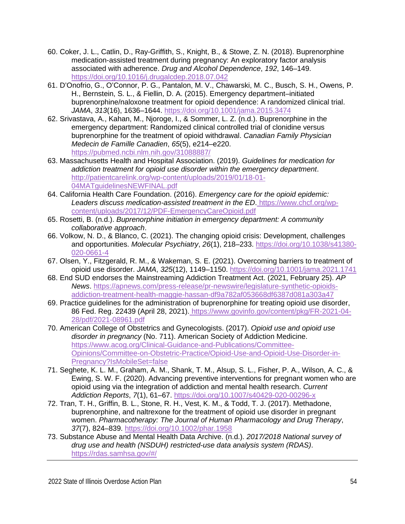- 60. Coker, J. L., Catlin, D., Ray-Griffith, S., Knight, B., & Stowe, Z. N. (2018). Buprenorphine medication-assisted treatment during pregnancy: An exploratory factor analysis associated with adherence. *Drug and Alcohol Dependence*, *192*, 146–149. <https://doi.org/10.1016/j.drugalcdep.2018.07.042>
- 61. D'Onofrio, G., O'Connor, P. G., Pantalon, M. V., Chawarski, M. C., Busch, S. H., Owens, P. H., Bernstein, S. L., & Fiellin, D. A. (2015). Emergency department–initiated buprenorphine/naloxone treatment for opioid dependence: A randomized clinical trial. *JAMA*, *313*(16), 1636–1644.<https://doi.org/10.1001/jama.2015.3474>
- 62. Srivastava, A., Kahan, M., Njoroge, I., & Sommer, L. Z. (n.d.). Buprenorphine in the emergency department: Randomized clinical controlled trial of clonidine versus buprenorphine for the treatment of opioid withdrawal. *Canadian Family Physician Medecin de Famille Canadien*, *65*(5), e214–e220. <https://pubmed.ncbi.nlm.nih.gov/31088887/>
- 63. Massachusetts Health and Hospital Association. (2019). *Guidelines for medication for addiction treatment for opioid use disorder within the emergency department*. [http://patientcarelink.org/wp-content/uploads/2019/01/18-01-](http://patientcarelink.org/wp-content/uploads/2019/01/18-01-04MATguidelinesNEWFINAL.pdf) [04MATguidelinesNEWFINAL.pdf](http://patientcarelink.org/wp-content/uploads/2019/01/18-01-04MATguidelinesNEWFINAL.pdf)
- 64. California Health Care Foundation. (2016). *Emergency care for the opioid epidemic: Leaders discuss medication-assisted treatment in the ED*. [https://www.chcf.org/wp](https://www.chcf.org/wp-content/uploads/2017/12/PDF-EmergencyCareOpioid.pdf)[content/uploads/2017/12/PDF-EmergencyCareOpioid.pdf](https://www.chcf.org/wp-content/uploads/2017/12/PDF-EmergencyCareOpioid.pdf)
- 65. Rosetti, B. (n.d.). *Buprenorphine initiation in emergency department: A community collaborative approach*.
- 66. Volkow, N. D., & Blanco, C. (2021). The changing opioid crisis: Development, challenges and opportunities. *Molecular Psychiatry*, *26*(1), 218–233. [https://doi.org/10.1038/s41380-](https://doi.org/10.1038/s41380-020-0661-4) [020-0661-4](https://doi.org/10.1038/s41380-020-0661-4)
- 67. Olsen, Y., Fitzgerald, R. M., & Wakeman, S. E. (2021). Overcoming barriers to treatment of opioid use disorder. *JAMA*, *325*(12), 1149–1150.<https://doi.org/10.1001/jama.2021.1741>
- 68. End SUD endorses the Mainstreaming Addiction Treatment Act. (2021, February 25). *AP News*. [https://apnews.com/press-release/pr-newswire/legislature-synthetic-opioids](https://apnews.com/press-release/pr-newswire/legislature-synthetic-opioids-addiction-treatment-health-maggie-hassan-df9a782af053668df6387d081a303a47)[addiction-treatment-health-maggie-hassan-df9a782af053668df6387d081a303a47](https://apnews.com/press-release/pr-newswire/legislature-synthetic-opioids-addiction-treatment-health-maggie-hassan-df9a782af053668df6387d081a303a47)
- 69. Practice guidelines for the administration of buprenorphine for treating opioid use disorder, 86 Fed. Reg. 22439 (April 28, 2021). [https://www.govinfo.gov/content/pkg/FR-2021-04-](https://www.govinfo.gov/content/pkg/FR-2021-04-28/pdf/2021-08961.pdf) [28/pdf/2021-08961.pdf](https://www.govinfo.gov/content/pkg/FR-2021-04-28/pdf/2021-08961.pdf)
- 70. American College of Obstetrics and Gynecologists. (2017). *Opioid use and opioid use disorder in pregnancy* (No. 711). American Society of Addiction Medicine. [https://www.acog.org/Clinical-Guidance-and-Publications/Committee-](https://www.acog.org/Clinical-Guidance-and-Publications/Committee-Opinions/Committee-on-Obstetric-Practice/Opioid-Use-and-Opioid-Use-Disorder-in-Pregnancy?IsMobileSet=false)[Opinions/Committee-on-Obstetric-Practice/Opioid-Use-and-Opioid-Use-Disorder-in-](https://www.acog.org/Clinical-Guidance-and-Publications/Committee-Opinions/Committee-on-Obstetric-Practice/Opioid-Use-and-Opioid-Use-Disorder-in-Pregnancy?IsMobileSet=false)[Pregnancy?IsMobileSet=false](https://www.acog.org/Clinical-Guidance-and-Publications/Committee-Opinions/Committee-on-Obstetric-Practice/Opioid-Use-and-Opioid-Use-Disorder-in-Pregnancy?IsMobileSet=false)
- 71. Seghete, K. L. M., Graham, A. M., Shank, T. M., Alsup, S. L., Fisher, P. A., Wilson, A. C., & Ewing, S. W. F. (2020). Advancing preventive interventions for pregnant women who are opioid using via the integration of addiction and mental health research. *Current Addiction Reports*, *7*(1), 61–67.<https://doi.org/10.1007/s40429-020-00296-x>
- 72. Tran, T. H., Griffin, B. L., Stone, R. H., Vest, K. M., & Todd, T. J. (2017). Methadone, buprenorphine, and naltrexone for the treatment of opioid use disorder in pregnant women. *Pharmacotherapy: The Journal of Human Pharmacology and Drug Therapy*, *37*(7), 824–839.<https://doi.org/10.1002/phar.1958>
- 73. Substance Abuse and Mental Health Data Archive. (n.d.). *2017/2018 National survey of drug use and health (NSDUH) restricted-use data analysis system (RDAS)*. [https://rdas.samhsa.gov/#/](https://rdas.samhsa.gov/%23/)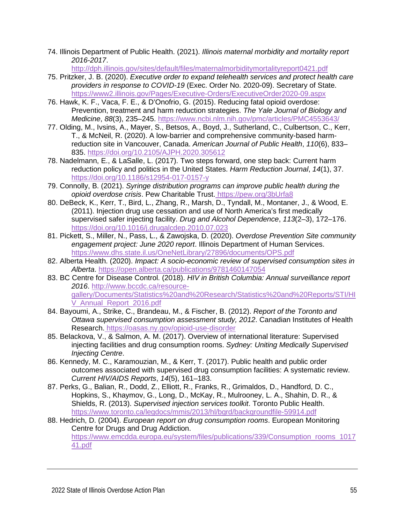74. Illinois Department of Public Health. (2021). *Illinois maternal morbidity and mortality report 2016-2017*.

<http://dph.illinois.gov/sites/default/files/maternalmorbiditymortalityreport0421.pdf>

- 75. Pritzker, J. B. (2020). *Executive order to expand telehealth services and protect health care providers in response to COVID-19* (Exec. Order No. 2020-09). Secretary of State. <https://www2.illinois.gov/Pages/Executive-Orders/ExecutiveOrder2020-09.aspx>
- 76. Hawk, K. F., Vaca, F. E., & D'Onofrio, G. (2015). Reducing fatal opioid overdose: Prevention, treatment and harm reduction strategies. *The Yale Journal of Biology and Medicine*, *88*(3), 235–245.<https://www.ncbi.nlm.nih.gov/pmc/articles/PMC4553643/>
- 77. Olding, M., Ivsins, A., Mayer, S., Betsos, A., Boyd, J., Sutherland, C., Culbertson, C., Kerr, T., & McNeil, R. (2020). A low-barrier and comprehensive community-based harmreduction site in Vancouver, Canada. *American Journal of Public Health*, *110*(6), 833– 835.<https://doi.org/10.2105/AJPH.2020.305612>
- 78. Nadelmann, E., & LaSalle, L. (2017). Two steps forward, one step back: Current harm reduction policy and politics in the United States. *Harm Reduction Journal*, *14*(1), 37. <https://doi.org/10.1186/s12954-017-0157-y>
- 79. Connolly, B. (2021). *Syringe distribution programs can improve public health during the opioid overdose crisis*. Pew Charitable Trust. <https://pew.org/3bUrfa8>
- 80. DeBeck, K., Kerr, T., Bird, L., Zhang, R., Marsh, D., Tyndall, M., Montaner, J., & Wood, E. (2011). Injection drug use cessation and use of North America's first medically supervised safer injecting facility. *Drug and Alcohol Dependence*, *113*(2–3), 172–176. <https://doi.org/10.1016/j.drugalcdep.2010.07.023>
- 81. Pickett, S., Miller, N., Pass, L., & Zawojska, D. (2020). *Overdose Prevention Site community engagement project: June 2020 report*. Illinois Department of Human Services. <https://www.dhs.state.il.us/OneNetLibrary/27896/documents/OPS.pdf>
- 82. Alberta Health. (2020). *Impact: A socio-economic review of supervised consumption sites in Alberta*.<https://open.alberta.ca/publications/9781460147054>
- 83. BC Centre for Disease Control. (2018). *HIV in British Columbia: Annual surveillance report 2016*. [http://www.bccdc.ca/resource](http://www.bccdc.ca/resource-gallery/Documents/Statistics%20and%20Research/Statistics%20and%20Reports/STI/HIV_Annual_Report_2016.pdf)[gallery/Documents/Statistics%20and%20Research/Statistics%20and%20Reports/STI/HI](http://www.bccdc.ca/resource-gallery/Documents/Statistics%20and%20Research/Statistics%20and%20Reports/STI/HIV_Annual_Report_2016.pdf) [V\\_Annual\\_Report\\_2016.pdf](http://www.bccdc.ca/resource-gallery/Documents/Statistics%20and%20Research/Statistics%20and%20Reports/STI/HIV_Annual_Report_2016.pdf)
- 84. Bayoumi, A., Strike, C., Brandeau, M., & Fischer, B. (2012). *Report of the Toronto and Ottawa supervised consumption assessment study, 2012*. Canadian Institutes of Health Research. <https://oasas.ny.gov/opioid-use-disorder>
- 85. Belackova, V., & Salmon, A. M. (2017). Overview of international literature: Supervised injecting facilities and drug consumption rooms. *Sydney: Uniting Medically Supervised Injecting Centre*.
- 86. Kennedy, M. C., Karamouzian, M., & Kerr, T. (2017). Public health and public order outcomes associated with supervised drug consumption facilities: A systematic review. *Current HIV/AIDS Reports*, *14*(5), 161–183.
- 87. Perks, G., Balian, R., Dodd, Z., Elliott, R., Franks, R., Grimaldos, D., Handford, D. C., Hopkins, S., Khaymov, G., Long, D., McKay, R., Mulrooney, L. A., Shahin, D. R., & Shields, R. (2013). *Supervised injection services toolkit*. Toronto Public Health. <https://www.toronto.ca/legdocs/mmis/2013/hl/bgrd/backgroundfile-59914.pdf>
- 88. Hedrich, D. (2004). *European report on drug consumption rooms*. European Monitoring Centre for Drugs and Drug Addiction. [https://www.emcdda.europa.eu/system/files/publications/339/Consumption\\_rooms\\_1017](https://www.emcdda.europa.eu/system/files/publications/339/Consumption_rooms_101741.pdf) [41.pdf](https://www.emcdda.europa.eu/system/files/publications/339/Consumption_rooms_101741.pdf)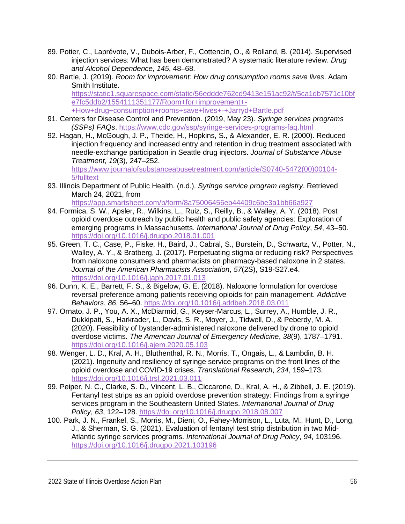- 89. Potier, C., Laprévote, V., Dubois-Arber, F., Cottencin, O., & Rolland, B. (2014). Supervised injection services: What has been demonstrated? A systematic literature review. *Drug and Alcohol Dependence*, *145*, 48–68.
- 90. Bartle, J. (2019). *Room for improvement: How drug consumption rooms save lives*. Adam Smith Institute. [https://static1.squarespace.com/static/56eddde762cd9413e151ac92/t/5ca1db7571c10bf](https://static1.squarespace.com/static/56eddde762cd9413e151ac92/t/5ca1db7571c10bfe7fc5ddb2/1554111351177/Room+for+improvement+-+How+drug+consumption+rooms+save+lives+-+Jarryd+Bartle.pdf) [e7fc5ddb2/1554111351177/Room+for+improvement+-](https://static1.squarespace.com/static/56eddde762cd9413e151ac92/t/5ca1db7571c10bfe7fc5ddb2/1554111351177/Room+for+improvement+-+How+drug+consumption+rooms+save+lives+-+Jarryd+Bartle.pdf) [+How+drug+consumption+rooms+save+lives+-+Jarryd+Bartle.pdf](https://static1.squarespace.com/static/56eddde762cd9413e151ac92/t/5ca1db7571c10bfe7fc5ddb2/1554111351177/Room+for+improvement+-+How+drug+consumption+rooms+save+lives+-+Jarryd+Bartle.pdf)
- 91. Centers for Disease Control and Prevention. (2019, May 23). *Syringe services programs (SSPs) FAQs*.<https://www.cdc.gov/ssp/syringe-services-programs-faq.html>
- 92. Hagan, H., McGough, J. P., Theide, H., Hopkins, S., & Alexander, E. R. (2000). Reduced injection frequency and increased entry and retention in drug treatment associated with needle-exchange participation in Seattle drug injectors. *Journal of Substance Abuse Treatment*, *19*(3), 247–252.

[https://www.journalofsubstanceabusetreatment.com/article/S0740-5472\(00\)00104-](https://www.journalofsubstanceabusetreatment.com/article/S0740-5472(00)00104-5/fulltext) [5/fulltext](https://www.journalofsubstanceabusetreatment.com/article/S0740-5472(00)00104-5/fulltext)

93. Illinois Department of Public Health. (n.d.). *Syringe service program registry*. Retrieved March 24, 2021, from

<https://app.smartsheet.com/b/form/8a75006456eb44409c6be3a1bb66a927>

- 94. Formica, S. W., Apsler, R., Wilkins, L., Ruiz, S., Reilly, B., & Walley, A. Y. (2018). Post opioid overdose outreach by public health and public safety agencies: Exploration of emerging programs in Massachusetts. *International Journal of Drug Policy*, *54*, 43–50. <https://doi.org/10.1016/j.drugpo.2018.01.001>
- 95. Green, T. C., Case, P., Fiske, H., Baird, J., Cabral, S., Burstein, D., Schwartz, V., Potter, N., Walley, A. Y., & Bratberg, J. (2017). Perpetuating stigma or reducing risk? Perspectives from naloxone consumers and pharmacists on pharmacy-based naloxone in 2 states. *Journal of the American Pharmacists Association*, *57*(2S), S19-S27.e4. <https://doi.org/10.1016/j.japh.2017.01.013>
- 96. Dunn, K. E., Barrett, F. S., & Bigelow, G. E. (2018). Naloxone formulation for overdose reversal preference among patients receiving opioids for pain management. *Addictive Behaviors*, *86*, 56–60.<https://doi.org/10.1016/j.addbeh.2018.03.011>
- 97. Ornato, J. P., You, A. X., McDiarmid, G., Keyser-Marcus, L., Surrey, A., Humble, J. R., Dukkipati, S., Harkrader, L., Davis, S. R., Moyer, J., Tidwell, D., & Peberdy, M. A. (2020). Feasibility of bystander-administered naloxone delivered by drone to opioid overdose victims. *The American Journal of Emergency Medicine*, *38*(9), 1787–1791. <https://doi.org/10.1016/j.ajem.2020.05.103>
- 98. Wenger, L. D., Kral, A. H., Bluthenthal, R. N., Morris, T., Ongais, L., & Lambdin, B. H. (2021). Ingenuity and resiliency of syringe service programs on the front lines of the opioid overdose and COVID-19 crises. *Translational Research*, *234*, 159–173. <https://doi.org/10.1016/j.trsl.2021.03.011>
- 99. Peiper, N. C., Clarke, S. D., Vincent, L. B., Ciccarone, D., Kral, A. H., & Zibbell, J. E. (2019). Fentanyl test strips as an opioid overdose prevention strategy: Findings from a syringe services program in the Southeastern United States. *International Journal of Drug Policy*, *63*, 122–128.<https://doi.org/10.1016/j.drugpo.2018.08.007>
- 100. Park, J. N., Frankel, S., Morris, M., Dieni, O., Fahey-Morrison, L., Luta, M., Hunt, D., Long, J., & Sherman, S. G. (2021). Evaluation of fentanyl test strip distribution in two Mid-Atlantic syringe services programs. *International Journal of Drug Policy*, *94*, 103196. <https://doi.org/10.1016/j.drugpo.2021.103196>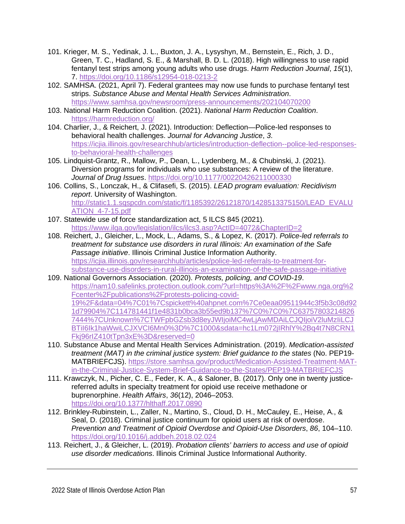- 101. Krieger, M. S., Yedinak, J. L., Buxton, J. A., Lysyshyn, M., Bernstein, E., Rich, J. D., Green, T. C., Hadland, S. E., & Marshall, B. D. L. (2018). High willingness to use rapid fentanyl test strips among young adults who use drugs. *Harm Reduction Journal*, *15*(1), 7.<https://doi.org/10.1186/s12954-018-0213-2>
- 102. SAMHSA. (2021, April 7). Federal grantees may now use funds to purchase fentanyl test strips. *Substance Abuse and Mental Health Services Administration*. <https://www.samhsa.gov/newsroom/press-announcements/202104070200>
- 103. National Harm Reduction Coalition. (2021). *National Harm Reduction Coalition*. <https://harmreduction.org/>
- 104. Charlier, J., & Reichert, J. (2021). Introduction: Deflection—Police-led responses to behavioral health challenges. *Journal for Advancing Justice*, *3*. [https://icjia.illinois.gov/researchhub/articles/introduction-deflection--police-led-responses](https://icjia.illinois.gov/researchhub/articles/introduction-deflection--police-led-responses-to-behavioral-health-challenges)[to-behavioral-health-challenges](https://icjia.illinois.gov/researchhub/articles/introduction-deflection--police-led-responses-to-behavioral-health-challenges)
- 105. Lindquist-Grantz, R., Mallow, P., Dean, L., Lydenberg, M., & Chubinski, J. (2021). Diversion programs for individuals who use substances: A review of the literature. *Journal of Drug Issues*.<https://doi.org/10.1177/00220426211000330>
- 106. Collins, S., Lonczak, H., & Clifasefi, S. (2015). *LEAD program evaluation: Recidivism report*. University of Washington. [http://static1.1.sqspcdn.com/static/f/1185392/26121870/1428513375150/LEAD\\_EVALU](http://static1.1.sqspcdn.com/static/f/1185392/26121870/1428513375150/LEAD_EVALUATION_4-7-15.pdf) [ATION\\_4-7-15.pdf](http://static1.1.sqspcdn.com/static/f/1185392/26121870/1428513375150/LEAD_EVALUATION_4-7-15.pdf)
- 107. Statewide use of force standardization act, 5 ILCS 845 (2021). <https://www.ilga.gov/legislation/ilcs/ilcs3.asp?ActID=4072&ChapterID=2>
- 108. Reichert, J., Gleicher, L., Mock, L., Adams, S., & Lopez, K. (2017). *Police-led referrals to treatment for substance use disorders in rural Illinois: An examination of the Safe Passage initiative*. Illinois Criminal Justice Information Authority. [https://icjia.illinois.gov/researchhub/articles/police-led-referrals-to-treatment-for](https://icjia.illinois.gov/researchhub/articles/police-led-referrals-to-treatment-for-substance-use-disorders-in-rural-illinois-an-examination-of-the-safe-passage-initiative)[substance-use-disorders-in-rural-illinois-an-examination-of-the-safe-passage-initiative](https://icjia.illinois.gov/researchhub/articles/police-led-referrals-to-treatment-for-substance-use-disorders-in-rural-illinois-an-examination-of-the-safe-passage-initiative)
- 109. National Governors Association. (2020). *Protests, policing, and COVID-19*. [https://nam10.safelinks.protection.outlook.com/?url=https%3A%2F%2Fwww.nga.org%2](https://nam10.safelinks.protection.outlook.com/?url=https%3A%2F%2Fwww.nga.org%2Fcenter%2Fpublications%2Fprotests-policing-covid-19%2F&data=04%7C01%7Cspickett%40ahpnet.com%7Ce0eaa09511944c3f5b3c08d921d79904%7C114781441f1e4831b0bca3b55ed9b137%7C0%7C0%7C637578032148267444%7CUnknown%7CTWFpbGZsb3d8eyJWIjoiMC4wLjAwMDAiLCJQIjoiV2luMzIiLCJBTiI6Ik1haWwiLCJXVCI6Mn0%3D%7C1000&sdata=hc1Lm072jIRhlY%2Bq4t7N8CRN1Fkj96rIZ410tTpn3xE%3D&reserved=0) [Fcenter%2Fpublications%2Fprotests-policing-covid-](https://nam10.safelinks.protection.outlook.com/?url=https%3A%2F%2Fwww.nga.org%2Fcenter%2Fpublications%2Fprotests-policing-covid-19%2F&data=04%7C01%7Cspickett%40ahpnet.com%7Ce0eaa09511944c3f5b3c08d921d79904%7C114781441f1e4831b0bca3b55ed9b137%7C0%7C0%7C637578032148267444%7CUnknown%7CTWFpbGZsb3d8eyJWIjoiMC4wLjAwMDAiLCJQIjoiV2luMzIiLCJBTiI6Ik1haWwiLCJXVCI6Mn0%3D%7C1000&sdata=hc1Lm072jIRhlY%2Bq4t7N8CRN1Fkj96rIZ410tTpn3xE%3D&reserved=0)[19%2F&data=04%7C01%7Cspickett%40ahpnet.com%7Ce0eaa09511944c3f5b3c08d92](https://nam10.safelinks.protection.outlook.com/?url=https%3A%2F%2Fwww.nga.org%2Fcenter%2Fpublications%2Fprotests-policing-covid-19%2F&data=04%7C01%7Cspickett%40ahpnet.com%7Ce0eaa09511944c3f5b3c08d921d79904%7C114781441f1e4831b0bca3b55ed9b137%7C0%7C0%7C637578032148267444%7CUnknown%7CTWFpbGZsb3d8eyJWIjoiMC4wLjAwMDAiLCJQIjoiV2luMzIiLCJBTiI6Ik1haWwiLCJXVCI6Mn0%3D%7C1000&sdata=hc1Lm072jIRhlY%2Bq4t7N8CRN1Fkj96rIZ410tTpn3xE%3D&reserved=0) [1d79904%7C114781441f1e4831b0bca3b55ed9b137%7C0%7C0%7C63757803214826](https://nam10.safelinks.protection.outlook.com/?url=https%3A%2F%2Fwww.nga.org%2Fcenter%2Fpublications%2Fprotests-policing-covid-19%2F&data=04%7C01%7Cspickett%40ahpnet.com%7Ce0eaa09511944c3f5b3c08d921d79904%7C114781441f1e4831b0bca3b55ed9b137%7C0%7C0%7C637578032148267444%7CUnknown%7CTWFpbGZsb3d8eyJWIjoiMC4wLjAwMDAiLCJQIjoiV2luMzIiLCJBTiI6Ik1haWwiLCJXVCI6Mn0%3D%7C1000&sdata=hc1Lm072jIRhlY%2Bq4t7N8CRN1Fkj96rIZ410tTpn3xE%3D&reserved=0) [7444%7CUnknown%7CTWFpbGZsb3d8eyJWIjoiMC4wLjAwMDAiLCJQIjoiV2luMzIiLCJ](https://nam10.safelinks.protection.outlook.com/?url=https%3A%2F%2Fwww.nga.org%2Fcenter%2Fpublications%2Fprotests-policing-covid-19%2F&data=04%7C01%7Cspickett%40ahpnet.com%7Ce0eaa09511944c3f5b3c08d921d79904%7C114781441f1e4831b0bca3b55ed9b137%7C0%7C0%7C637578032148267444%7CUnknown%7CTWFpbGZsb3d8eyJWIjoiMC4wLjAwMDAiLCJQIjoiV2luMzIiLCJBTiI6Ik1haWwiLCJXVCI6Mn0%3D%7C1000&sdata=hc1Lm072jIRhlY%2Bq4t7N8CRN1Fkj96rIZ410tTpn3xE%3D&reserved=0) [BTiI6Ik1haWwiLCJXVCI6Mn0%3D%7C1000&sdata=hc1Lm072jIRhlY%2Bq4t7N8CRN1](https://nam10.safelinks.protection.outlook.com/?url=https%3A%2F%2Fwww.nga.org%2Fcenter%2Fpublications%2Fprotests-policing-covid-19%2F&data=04%7C01%7Cspickett%40ahpnet.com%7Ce0eaa09511944c3f5b3c08d921d79904%7C114781441f1e4831b0bca3b55ed9b137%7C0%7C0%7C637578032148267444%7CUnknown%7CTWFpbGZsb3d8eyJWIjoiMC4wLjAwMDAiLCJQIjoiV2luMzIiLCJBTiI6Ik1haWwiLCJXVCI6Mn0%3D%7C1000&sdata=hc1Lm072jIRhlY%2Bq4t7N8CRN1Fkj96rIZ410tTpn3xE%3D&reserved=0) [Fkj96rIZ410tTpn3xE%3D&reserved=0](https://nam10.safelinks.protection.outlook.com/?url=https%3A%2F%2Fwww.nga.org%2Fcenter%2Fpublications%2Fprotests-policing-covid-19%2F&data=04%7C01%7Cspickett%40ahpnet.com%7Ce0eaa09511944c3f5b3c08d921d79904%7C114781441f1e4831b0bca3b55ed9b137%7C0%7C0%7C637578032148267444%7CUnknown%7CTWFpbGZsb3d8eyJWIjoiMC4wLjAwMDAiLCJQIjoiV2luMzIiLCJBTiI6Ik1haWwiLCJXVCI6Mn0%3D%7C1000&sdata=hc1Lm072jIRhlY%2Bq4t7N8CRN1Fkj96rIZ410tTpn3xE%3D&reserved=0)
- 110. Substance Abuse and Mental Health Services Administration. (2019). *Medication-assisted treatment (MAT) in the criminal justice system: Brief guidance to the states* (No. PEP19- MATBRIEFCJS). [https://store.samhsa.gov/product/Medication-Assisted-Treatment-MAT](https://store.samhsa.gov/product/Medication-Assisted-Treatment-MAT-in-the-Criminal-Justice-System-Brief-Guidance-to-the-States/PEP19-MATBRIEFCJS)[in-the-Criminal-Justice-System-Brief-Guidance-to-the-States/PEP19-MATBRIEFCJS](https://store.samhsa.gov/product/Medication-Assisted-Treatment-MAT-in-the-Criminal-Justice-System-Brief-Guidance-to-the-States/PEP19-MATBRIEFCJS)
- 111. Krawczyk, N., Picher, C. E., Feder, K. A., & Saloner, B. (2017). Only one in twenty justicereferred adults in specialty treatment for opioid use receive methadone or buprenorphine. *Health Affairs*, *36*(12), 2046–2053. <https://doi.org/10.1377/hlthaff.2017.0890>
- 112. Brinkley-Rubinstein, L., Zaller, N., Martino, S., Cloud, D. H., McCauley, E., Heise, A., & Seal, D. (2018). Criminal justice continuum for opioid users at risk of overdose. *Prevention and Treatment of Opioid Overdose and Opioid-Use Disorders*, *86*, 104–110. <https://doi.org/10.1016/j.addbeh.2018.02.024>
- 113. Reichert, J., & Gleicher, L. (2019). *Probation clients' barriers to access and use of opioid use disorder medications*. Illinois Criminal Justice Informational Authority.